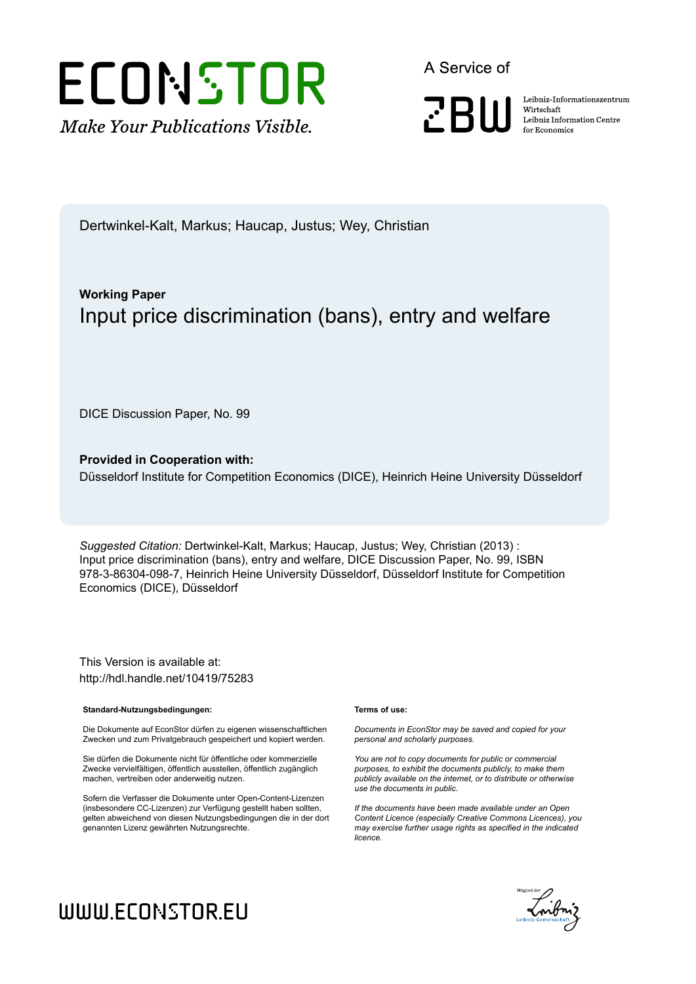

A Service of

**PRIII** 

Leibniz Informationszentrum Wirtschaft Leibniz Information Centre for Economics

Dertwinkel-Kalt, Markus; Haucap, Justus; Wey, Christian

# **Working Paper** Input price discrimination (bans), entry and welfare

DICE Discussion Paper, No. 99

**Provided in Cooperation with:** Düsseldorf Institute for Competition Economics (DICE), Heinrich Heine University Düsseldorf

*Suggested Citation:* Dertwinkel-Kalt, Markus; Haucap, Justus; Wey, Christian (2013) : Input price discrimination (bans), entry and welfare, DICE Discussion Paper, No. 99, ISBN 978-3-86304-098-7, Heinrich Heine University Düsseldorf, Düsseldorf Institute for Competition Economics (DICE), Düsseldorf

This Version is available at: http://hdl.handle.net/10419/75283

#### **Standard-Nutzungsbedingungen:**

Die Dokumente auf EconStor dürfen zu eigenen wissenschaftlichen Zwecken und zum Privatgebrauch gespeichert und kopiert werden.

Sie dürfen die Dokumente nicht für öffentliche oder kommerzielle Zwecke vervielfältigen, öffentlich ausstellen, öffentlich zugänglich machen, vertreiben oder anderweitig nutzen.

Sofern die Verfasser die Dokumente unter Open-Content-Lizenzen (insbesondere CC-Lizenzen) zur Verfügung gestellt haben sollten, gelten abweichend von diesen Nutzungsbedingungen die in der dort genannten Lizenz gewährten Nutzungsrechte.

#### **Terms of use:**

*Documents in EconStor may be saved and copied for your personal and scholarly purposes.*

*You are not to copy documents for public or commercial purposes, to exhibit the documents publicly, to make them publicly available on the internet, or to distribute or otherwise use the documents in public.*

*If the documents have been made available under an Open Content Licence (especially Creative Commons Licences), you may exercise further usage rights as specified in the indicated licence.*



# WWW.ECONSTOR.EU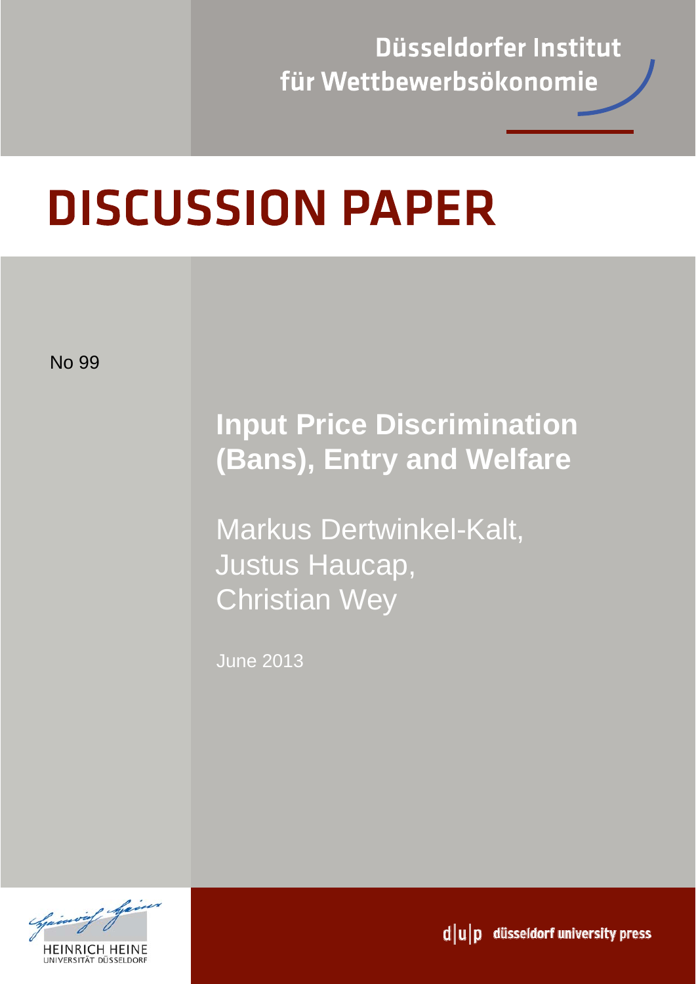Düsseldorfer Institut für Wettbewerbsökonomie

# **DISCUSSION PAPER**

No 99

# **Input Price Discrimination (Bans), Entry and Welfare**

Markus Dertwinkel-Kalt, Justus Haucap, Christian Wey

June 2013



 $d|u|p$  düsseldorf university press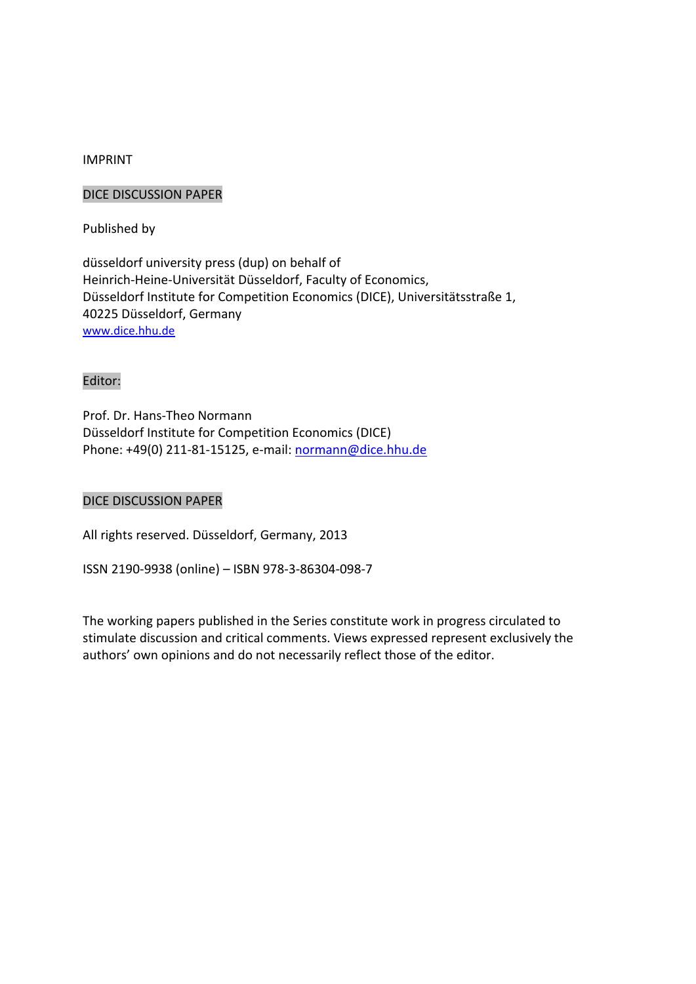#### IMPRINT

#### DICE DISCUSSION PAPER

Published by

düsseldorf university press (dup) on behalf of Heinrich‐Heine‐Universität Düsseldorf, Faculty of Economics, Düsseldorf Institute for Competition Economics (DICE), Universitätsstraße 1, 40225 Düsseldorf, Germany www.dice.hhu.de

#### Editor:

Prof. Dr. Hans‐Theo Normann Düsseldorf Institute for Competition Economics (DICE) Phone: +49(0) 211‐81‐15125, e‐mail: normann@dice.hhu.de

#### DICE DISCUSSION PAPER

All rights reserved. Düsseldorf, Germany, 2013

ISSN 2190‐9938 (online) – ISBN 978‐3‐86304‐098‐7

The working papers published in the Series constitute work in progress circulated to stimulate discussion and critical comments. Views expressed represent exclusively the authors' own opinions and do not necessarily reflect those of the editor.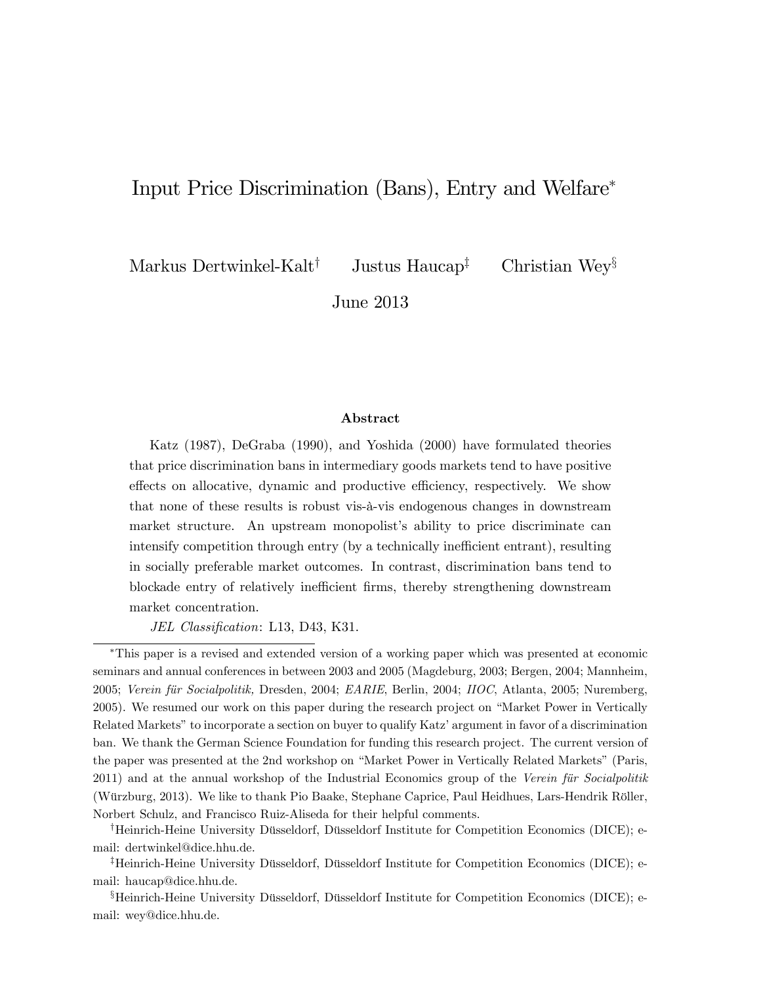# Input Price Discrimination (Bans), Entry and Welfare

Markus Dertwinkel-Kalt<sup>†</sup> Justus Haucap<sup>‡</sup> Christian Wey<sup>§</sup>

June 2013

#### Abstract

Katz (1987), DeGraba (1990), and Yoshida (2000) have formulated theories that price discrimination bans in intermediary goods markets tend to have positive effects on allocative, dynamic and productive efficiency, respectively. We show that none of these results is robust vis-‡-vis endogenous changes in downstream market structure. An upstream monopolist's ability to price discriminate can intensify competition through entry (by a technically inefficient entrant), resulting in socially preferable market outcomes. In contrast, discrimination bans tend to blockade entry of relatively inefficient firms, thereby strengthening downstream market concentration.

JEL Classification: L13, D43, K31.

<sup>†</sup>Heinrich-Heine University Düsseldorf, Düsseldorf Institute for Competition Economics (DICE); email: dertwinkel@dice.hhu.de.

<sup>‡</sup>Heinrich-Heine University Düsseldorf, Düsseldorf Institute for Competition Economics (DICE); email: haucap@dice.hhu.de.

 ${}^{\S}$ Heinrich-Heine University Düsseldorf, Düsseldorf Institute for Competition Economics (DICE); email: wey@dice.hhu.de.

This paper is a revised and extended version of a working paper which was presented at economic seminars and annual conferences in between 2003 and 2005 (Magdeburg, 2003; Bergen, 2004; Mannheim, 2005; Verein für Socialpolitik, Dresden, 2004; EARIE, Berlin, 2004; IIOC, Atlanta, 2005; Nuremberg, 2005). We resumed our work on this paper during the research project on "Market Power in Vertically Related Markets" to incorporate a section on buyer to qualify Katz' argument in favor of a discrimination ban. We thank the German Science Foundation for funding this research project. The current version of the paper was presented at the 2nd workshop on "Market Power in Vertically Related Markets" (Paris, 2011) and at the annual workshop of the Industrial Economics group of the Verein für Socialpolitik (Würzburg, 2013). We like to thank Pio Baake, Stephane Caprice, Paul Heidhues, Lars-Hendrik Röller, Norbert Schulz, and Francisco Ruiz-Aliseda for their helpful comments.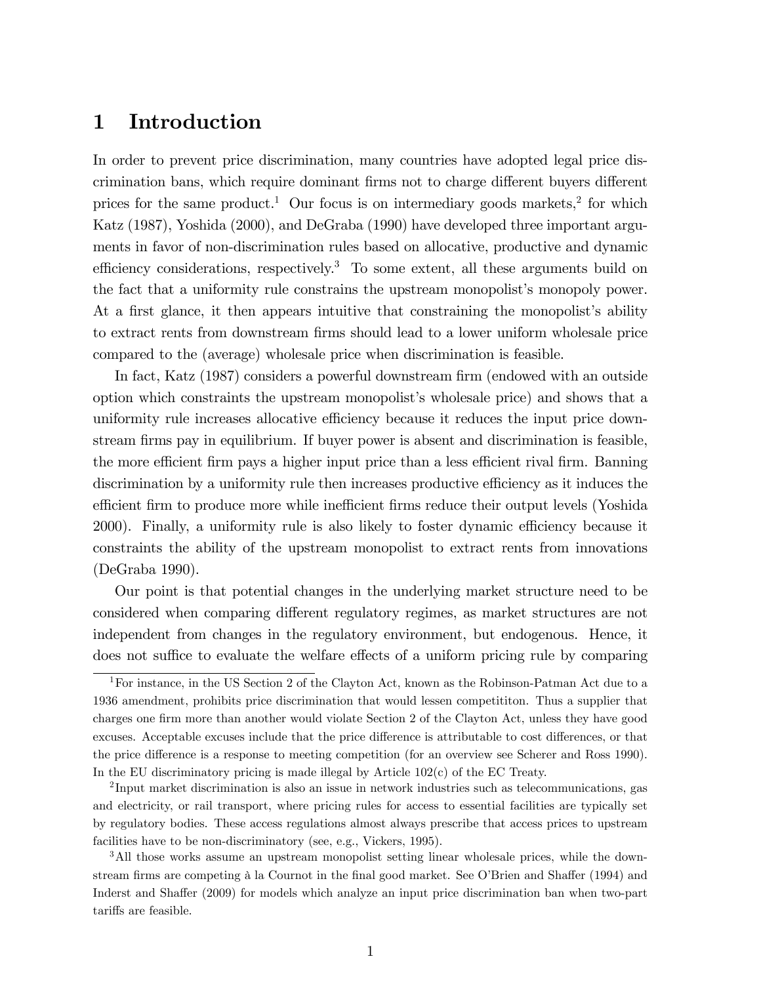# 1 Introduction

In order to prevent price discrimination, many countries have adopted legal price discrimination bans, which require dominant firms not to charge different buyers different prices for the same product.<sup>1</sup> Our focus is on intermediary goods markets,<sup>2</sup> for which Katz (1987), Yoshida (2000), and DeGraba (1990) have developed three important arguments in favor of non-discrimination rules based on allocative, productive and dynamic efficiency considerations, respectively.<sup>3</sup> To some extent, all these arguments build on the fact that a uniformity rule constrains the upstream monopolist's monopoly power. At a first glance, it then appears intuitive that constraining the monopolist's ability to extract rents from downstream firms should lead to a lower uniform wholesale price compared to the (average) wholesale price when discrimination is feasible.

In fact, Katz (1987) considers a powerful downstream firm (endowed with an outside option which constraints the upstream monopolistís wholesale price) and shows that a uniformity rule increases allocative efficiency because it reduces the input price downstream firms pay in equilibrium. If buyer power is absent and discrimination is feasible, the more efficient firm pays a higher input price than a less efficient rival firm. Banning discrimination by a uniformity rule then increases productive efficiency as it induces the efficient firm to produce more while inefficient firms reduce their output levels (Yoshida 2000). Finally, a uniformity rule is also likely to foster dynamic efficiency because it constraints the ability of the upstream monopolist to extract rents from innovations (DeGraba 1990).

Our point is that potential changes in the underlying market structure need to be considered when comparing different regulatory regimes, as market structures are not independent from changes in the regulatory environment, but endogenous. Hence, it does not suffice to evaluate the welfare effects of a uniform pricing rule by comparing

<sup>&</sup>lt;sup>1</sup>For instance, in the US Section 2 of the Clayton Act, known as the Robinson-Patman Act due to a 1936 amendment, prohibits price discrimination that would lessen competititon. Thus a supplier that charges one firm more than another would violate Section 2 of the Clayton Act, unless they have good excuses. Acceptable excuses include that the price difference is attributable to cost differences, or that the price difference is a response to meeting competition (for an overview see Scherer and Ross 1990). In the EU discriminatory pricing is made illegal by Article 102(c) of the EC Treaty.

<sup>&</sup>lt;sup>2</sup>Input market discrimination is also an issue in network industries such as telecommunications, gas and electricity, or rail transport, where pricing rules for access to essential facilities are typically set by regulatory bodies. These access regulations almost always prescribe that access prices to upstream facilities have to be non-discriminatory (see, e.g., Vickers, 1995).

<sup>&</sup>lt;sup>3</sup>All those works assume an upstream monopolist setting linear wholesale prices, while the downstream firms are competing à la Cournot in the final good market. See O'Brien and Shaffer (1994) and Inderst and Shaffer (2009) for models which analyze an input price discrimination ban when two-part tariffs are feasible.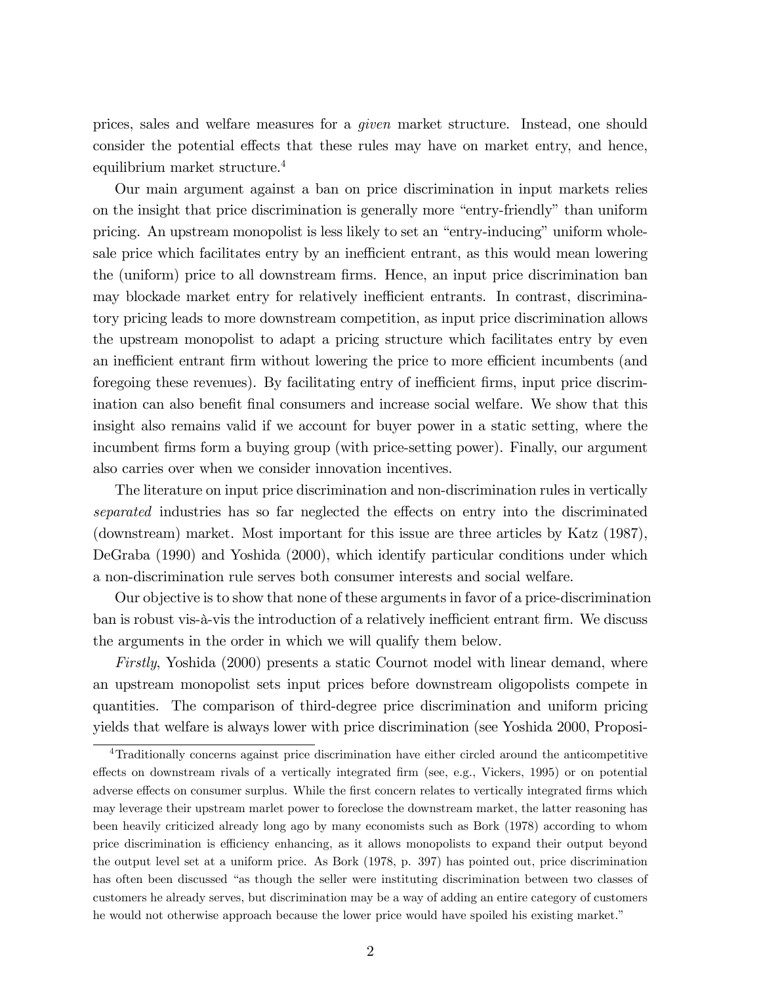prices, sales and welfare measures for a given market structure. Instead, one should consider the potential effects that these rules may have on market entry, and hence, equilibrium market structure.<sup>4</sup>

Our main argument against a ban on price discrimination in input markets relies on the insight that price discrimination is generally more "entry-friendly" than uniform pricing. An upstream monopolist is less likely to set an "entry-inducing" uniform wholesale price which facilitates entry by an inefficient entrant, as this would mean lowering the (uniform) price to all downstream firms. Hence, an input price discrimination ban may blockade market entry for relatively inefficient entrants. In contrast, discriminatory pricing leads to more downstream competition, as input price discrimination allows the upstream monopolist to adapt a pricing structure which facilitates entry by even an inefficient entrant firm without lowering the price to more efficient incumbents (and foregoing these revenues). By facilitating entry of inefficient firms, input price discrimination can also benefit final consumers and increase social welfare. We show that this insight also remains valid if we account for buyer power in a static setting, where the incumbent firms form a buying group (with price-setting power). Finally, our argument also carries over when we consider innovation incentives.

The literature on input price discrimination and non-discrimination rules in vertically separated industries has so far neglected the effects on entry into the discriminated (downstream) market. Most important for this issue are three articles by Katz (1987), DeGraba (1990) and Yoshida (2000), which identify particular conditions under which a non-discrimination rule serves both consumer interests and social welfare.

Our objective is to show that none of these arguments in favor of a price-discrimination ban is robust vis-à-vis the introduction of a relatively inefficient entrant firm. We discuss the arguments in the order in which we will qualify them below.

Firstly, Yoshida (2000) presents a static Cournot model with linear demand, where an upstream monopolist sets input prices before downstream oligopolists compete in quantities. The comparison of third-degree price discrimination and uniform pricing yields that welfare is always lower with price discrimination (see Yoshida 2000, Proposi-

<sup>4</sup>Traditionally concerns against price discrimination have either circled around the anticompetitive effects on downstream rivals of a vertically integrated firm (see, e.g., Vickers, 1995) or on potential adverse effects on consumer surplus. While the first concern relates to vertically integrated firms which may leverage their upstream marlet power to foreclose the downstream market, the latter reasoning has been heavily criticized already long ago by many economists such as Bork (1978) according to whom price discrimination is efficiency enhancing, as it allows monopolists to expand their output beyond the output level set at a uniform price. As Bork (1978, p. 397) has pointed out, price discrimination has often been discussed "as though the seller were instituting discrimination between two classes of customers he already serves, but discrimination may be a way of adding an entire category of customers he would not otherwise approach because the lower price would have spoiled his existing market."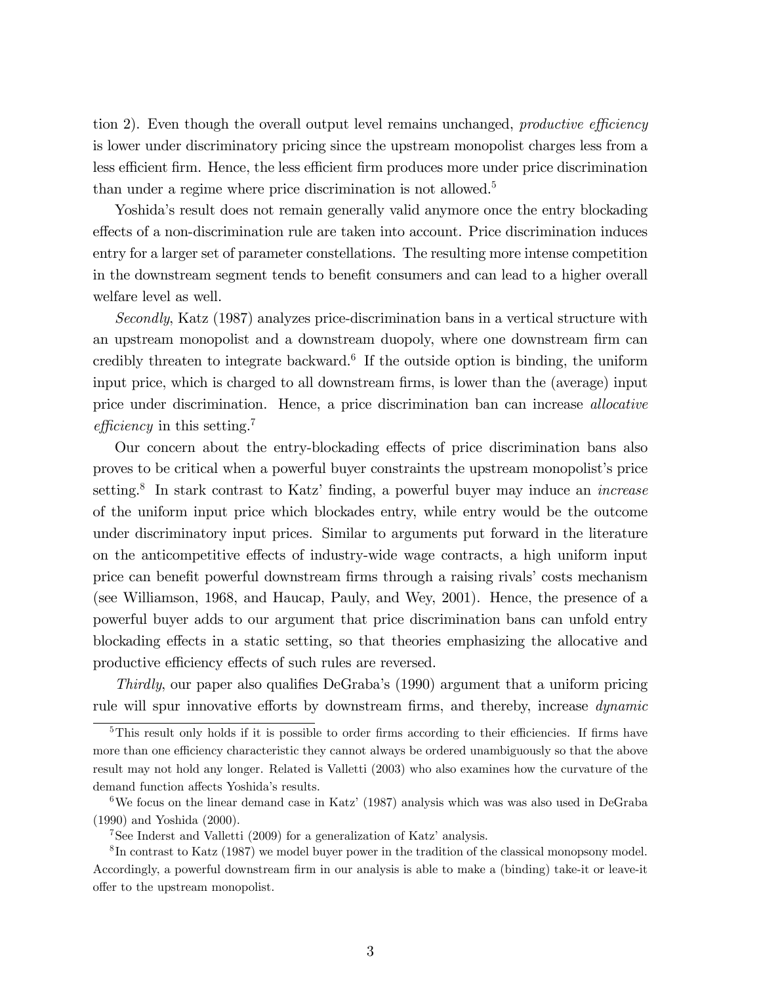tion 2). Even though the overall output level remains unchanged, *productive efficiency* is lower under discriminatory pricing since the upstream monopolist charges less from a less efficient firm. Hence, the less efficient firm produces more under price discrimination than under a regime where price discrimination is not allowed.<sup>5</sup>

Yoshida's result does not remain generally valid anymore once the entry blockading effects of a non-discrimination rule are taken into account. Price discrimination induces entry for a larger set of parameter constellations. The resulting more intense competition in the downstream segment tends to benefit consumers and can lead to a higher overall welfare level as well.

Secondly, Katz (1987) analyzes price-discrimination bans in a vertical structure with an upstream monopolist and a downstream duopoly, where one downstream firm can credibly threaten to integrate backward.<sup>6</sup> If the outside option is binding, the uniform input price, which is charged to all downstream firms, is lower than the (average) input price under discrimination. Hence, a price discrimination ban can increase allocative efficiency in this setting.<sup>7</sup>

Our concern about the entry-blockading effects of price discrimination bans also proves to be critical when a powerful buyer constraints the upstream monopolist's price setting.<sup>8</sup> In stark contrast to Katz' finding, a powerful buyer may induce an *increase* of the uniform input price which blockades entry, while entry would be the outcome under discriminatory input prices. Similar to arguments put forward in the literature on the anticompetitive effects of industry-wide wage contracts, a high uniform input price can benefit powerful downstream firms through a raising rivals' costs mechanism (see Williamson, 1968, and Haucap, Pauly, and Wey, 2001). Hence, the presence of a powerful buyer adds to our argument that price discrimination bans can unfold entry blockading effects in a static setting, so that theories emphasizing the allocative and productive efficiency effects of such rules are reversed.

Thirdly, our paper also qualifies DeGraba's  $(1990)$  argument that a uniform pricing rule will spur innovative efforts by downstream firms, and thereby, increase *dynamic* 

 $5$ This result only holds if it is possible to order firms according to their efficiencies. If firms have more than one efficiency characteristic they cannot always be ordered unambiguously so that the above result may not hold any longer. Related is Valletti (2003) who also examines how the curvature of the demand function affects Yoshida's results.

<sup>&</sup>lt;sup>6</sup>We focus on the linear demand case in Katz' (1987) analysis which was was also used in DeGraba (1990) and Yoshida (2000).

<sup>&</sup>lt;sup>7</sup>See Inderst and Valletti (2009) for a generalization of Katz' analysis.

 ${}^{8}$ In contrast to Katz (1987) we model buyer power in the tradition of the classical monopsony model. Accordingly, a powerful downstream firm in our analysis is able to make a (binding) take-it or leave-it offer to the upstream monopolist.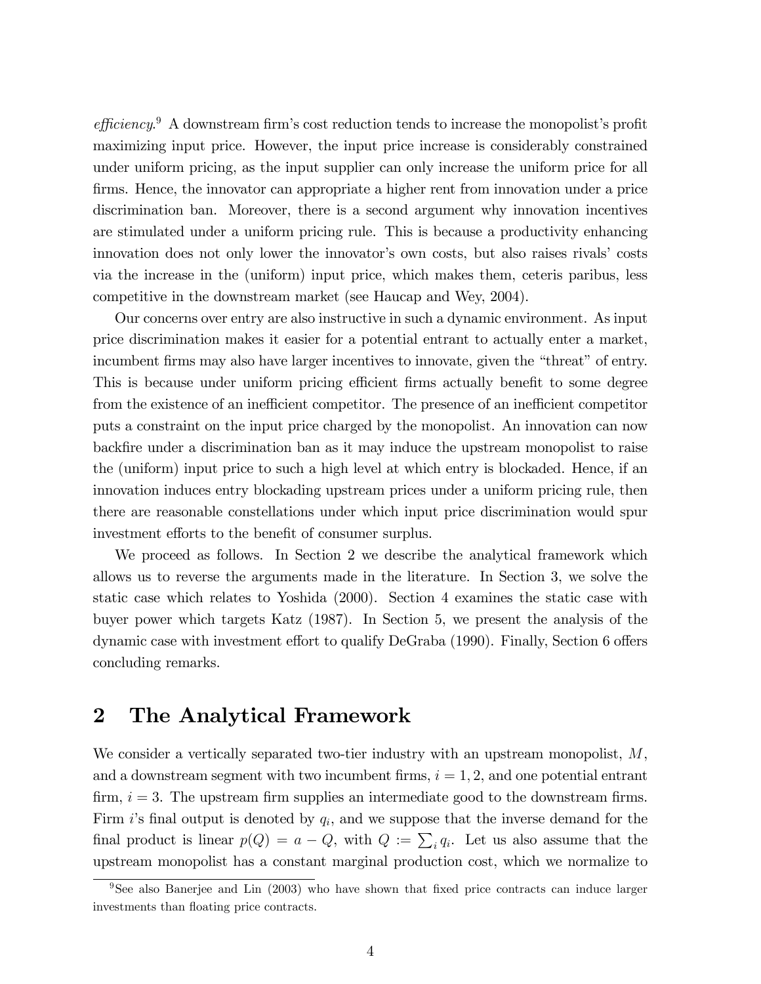$efficiency.<sup>9</sup>$  A downstream firm's cost reduction tends to increase the monopolist's profit maximizing input price. However, the input price increase is considerably constrained under uniform pricing, as the input supplier can only increase the uniform price for all firms. Hence, the innovator can appropriate a higher rent from innovation under a price discrimination ban. Moreover, there is a second argument why innovation incentives are stimulated under a uniform pricing rule. This is because a productivity enhancing innovation does not only lower the innovator's own costs, but also raises rivals' costs via the increase in the (uniform) input price, which makes them, ceteris paribus, less competitive in the downstream market (see Haucap and Wey, 2004).

Our concerns over entry are also instructive in such a dynamic environment. As input price discrimination makes it easier for a potential entrant to actually enter a market, incumbent firms may also have larger incentives to innovate, given the "threat" of entry. This is because under uniform pricing efficient firms actually benefit to some degree from the existence of an inefficient competitor. The presence of an inefficient competitor puts a constraint on the input price charged by the monopolist. An innovation can now backÖre under a discrimination ban as it may induce the upstream monopolist to raise the (uniform) input price to such a high level at which entry is blockaded. Hence, if an innovation induces entry blockading upstream prices under a uniform pricing rule, then there are reasonable constellations under which input price discrimination would spur investment efforts to the benefit of consumer surplus.

We proceed as follows. In Section 2 we describe the analytical framework which allows us to reverse the arguments made in the literature. In Section 3, we solve the static case which relates to Yoshida (2000). Section 4 examines the static case with buyer power which targets Katz (1987). In Section 5, we present the analysis of the dynamic case with investment effort to qualify DeGraba (1990). Finally, Section 6 offers concluding remarks.

# 2 The Analytical Framework

We consider a vertically separated two-tier industry with an upstream monopolist,  $M$ , and a downstream segment with two incumbent firms,  $i = 1, 2$ , and one potential entrant firm,  $i = 3$ . The upstream firm supplies an intermediate good to the downstream firms. Firm  $i$ 's final output is denoted by  $q_i$ , and we suppose that the inverse demand for the final product is linear  $p(Q) = a - Q$ , with  $Q := \sum_i q_i$ . Let us also assume that the upstream monopolist has a constant marginal production cost, which we normalize to

<sup>&</sup>lt;sup>9</sup>See also Banerjee and Lin (2003) who have shown that fixed price contracts can induce larger investments than floating price contracts.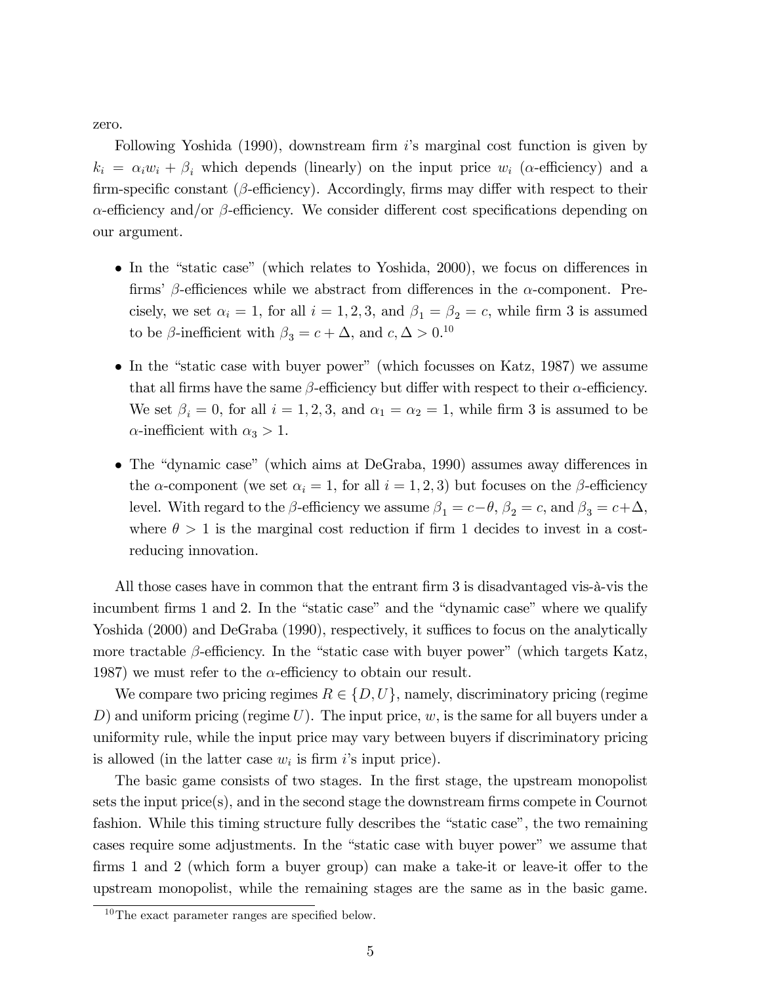zero.

Following Yoshida  $(1990)$ , downstream firm is marginal cost function is given by  $k_i = \alpha_i w_i + \beta_i$  which depends (linearly) on the input price  $w_i$  ( $\alpha$ -efficiency) and a firm-specific constant ( $\beta$ -efficiency). Accordingly, firms may differ with respect to their  $\alpha$ -efficiency and/or  $\beta$ -efficiency. We consider different cost specifications depending on our argument.

- $\bullet$  In the "static case" (which relates to Yoshida, 2000), we focus on differences in firms'  $\beta$ -efficiences while we abstract from differences in the  $\alpha$ -component. Precisely, we set  $\alpha_i = 1$ , for all  $i = 1, 2, 3$ , and  $\beta_1 = \beta_2 = c$ , while firm 3 is assumed to be  $\beta$ -inefficient with  $\beta_3 = c + \Delta$ , and  $c, \Delta > 0$ .<sup>10</sup>
- $\bullet$  In the "static case with buyer power" (which focusses on Katz, 1987) we assume that all firms have the same  $\beta$ -efficiency but differ with respect to their  $\alpha$ -efficiency. We set  $\beta_i = 0$ , for all  $i = 1, 2, 3$ , and  $\alpha_1 = \alpha_2 = 1$ , while firm 3 is assumed to be  $\alpha$ -inefficient with  $\alpha_3 > 1$ .
- The "dynamic case" (which aims at DeGraba, 1990) assumes away differences in the  $\alpha$ -component (we set  $\alpha_i = 1$ , for all  $i = 1, 2, 3$ ) but focuses on the  $\beta$ -efficiency level. With regard to the  $\beta$ -efficiency we assume  $\beta_1 = c - \theta$ ,  $\beta_2 = c$ , and  $\beta_3 = c + \Delta$ , where  $\theta > 1$  is the marginal cost reduction if firm 1 decides to invest in a costreducing innovation.

All those cases have in common that the entrant firm 3 is disadvantaged vis- $\lambda$ -vis the incumbent firms 1 and 2. In the "static case" and the "dynamic case" where we qualify Yoshida (2000) and DeGraba (1990), respectively, it suffices to focus on the analytically more tractable  $\beta$ -efficiency. In the "static case with buyer power" (which targets Katz, 1987) we must refer to the  $\alpha$ -efficiency to obtain our result.

We compare two pricing regimes  $R \in \{D, U\}$ , namely, discriminatory pricing (regime D) and uniform pricing (regime  $U$ ). The input price,  $w$ , is the same for all buyers under a uniformity rule, while the input price may vary between buyers if discriminatory pricing is allowed (in the latter case  $w_i$  is firm i's input price).

The basic game consists of two stages. In the first stage, the upstream monopolist sets the input  $\text{price}(s)$ , and in the second stage the downstream firms compete in Cournot fashion. While this timing structure fully describes the "static case", the two remaining cases require some adjustments. In the "static case with buyer power" we assume that firms 1 and 2 (which form a buyer group) can make a take-it or leave-it offer to the upstream monopolist, while the remaining stages are the same as in the basic game.

 $10$ The exact parameter ranges are specified below.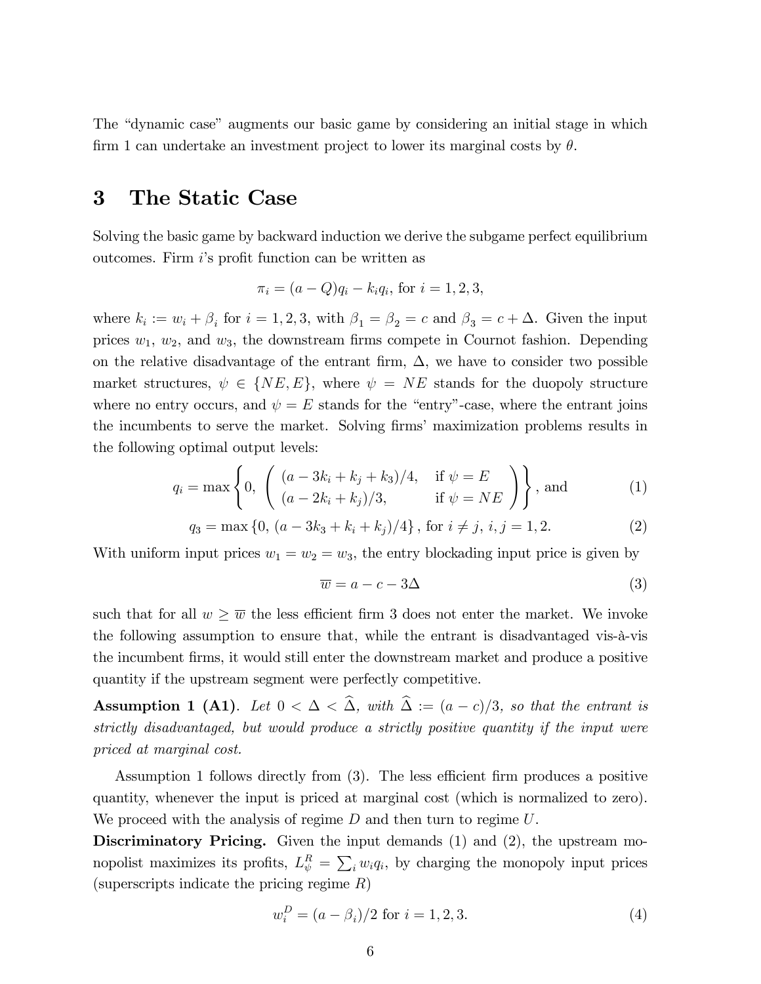The "dynamic case" augments our basic game by considering an initial stage in which firm 1 can undertake an investment project to lower its marginal costs by  $\theta$ .

#### 3 The Static Case

Solving the basic game by backward induction we derive the subgame perfect equilibrium outcomes. Firm i's profit function can be written as

$$
\pi_i = (a - Q)q_i - k_i q_i, \text{ for } i = 1, 2, 3,
$$

where  $k_i := w_i + \beta_i$  for  $i = 1, 2, 3$ , with  $\beta_1 = \beta_2 = c$  and  $\beta_3 = c + \Delta$ . Given the input prices  $w_1, w_2$ , and  $w_3$ , the downstream firms compete in Cournot fashion. Depending on the relative disadvantage of the entrant firm,  $\Delta$ , we have to consider two possible market structures,  $\psi \in \{NE, E\}$ , where  $\psi = NE$  stands for the duopoly structure where no entry occurs, and  $\psi = E$  stands for the "entry"-case, where the entrant joins the incumbents to serve the market. Solving firms' maximization problems results in the following optimal output levels:

$$
q_i = \max \left\{ 0, \begin{pmatrix} (a - 3k_i + k_j + k_3)/4, & \text{if } \psi = E \\ (a - 2k_i + k_j)/3, & \text{if } \psi = NE \end{pmatrix} \right\}, \text{and}
$$
 (1)

$$
q_3 = \max\{0, \left(a - 3k_3 + k_i + k_j\right)/4\}, \text{ for } i \neq j, \, i, j = 1, 2. \tag{2}
$$

With uniform input prices  $w_1 = w_2 = w_3$ , the entry blockading input price is given by

$$
\overline{w} = a - c - 3\Delta \tag{3}
$$

such that for all  $w \geq \overline{w}$  the less efficient firm 3 does not enter the market. We invoke the following assumption to ensure that, while the entrant is disadvantaged vis- $\hat{a}$ -vis the incumbent Örms, it would still enter the downstream market and produce a positive quantity if the upstream segment were perfectly competitive.

**Assumption 1 (A1).** Let  $0 < \Delta < \hat{\Delta}$ , with  $\hat{\Delta} := (a - c)/3$ , so that the entrant is strictly disadvantaged, but would produce a strictly positive quantity if the input were priced at marginal cost.

Assumption 1 follows directly from  $(3)$ . The less efficient firm produces a positive quantity, whenever the input is priced at marginal cost (which is normalized to zero). We proceed with the analysis of regime  $D$  and then turn to regime  $U$ .

Discriminatory Pricing. Given the input demands (1) and (2), the upstream monopolist maximizes its profits,  $L_{\psi}^{R} = \sum_{i} w_{i} q_{i}$ , by charging the monopoly input prices (superscripts indicate the pricing regime  $R$ )

$$
w_i^D = (a - \beta_i)/2 \text{ for } i = 1, 2, 3.
$$
 (4)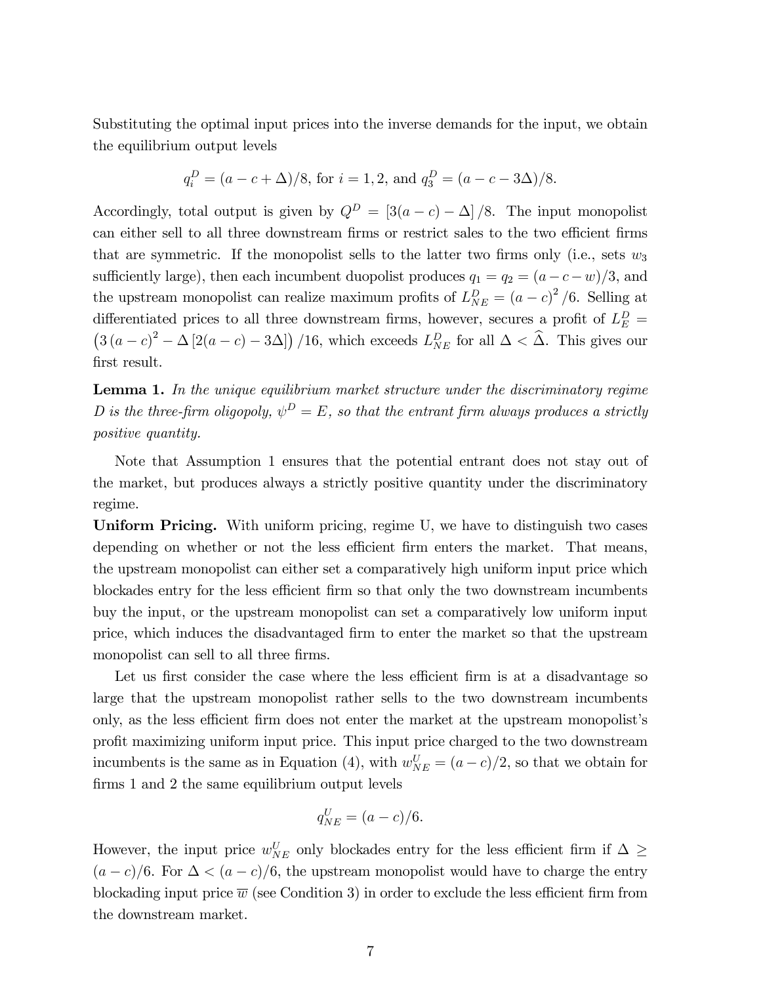Substituting the optimal input prices into the inverse demands for the input, we obtain the equilibrium output levels

$$
q_i^D = (a - c + \Delta)/8
$$
, for  $i = 1, 2$ , and  $q_3^D = (a - c - 3\Delta)/8$ .

Accordingly, total output is given by  $Q^D = [3(a-c) - \Delta] / 8$ . The input monopolist can either sell to all three downstream firms or restrict sales to the two efficient firms that are symmetric. If the monopolist sells to the latter two firms only (i.e., sets  $w_3$ sufficiently large), then each incumbent duopolist produces  $q_1 = q_2 = (a - c - w)/3$ , and the upstream monopolist can realize maximum profits of  $L_{NE}^D = (a - c)^2 / 6$ . Selling at differentiated prices to all three downstream firms, however, secures a profit of  $L_E^D$  =  $(3(a-c)^2 - \Delta[2(a-c) - 3\Delta])$  /16, which exceeds  $L_{NE}^D$  for all  $\Delta < \hat{\Delta}$ . This gives our first result.

Lemma 1. In the unique equilibrium market structure under the discriminatory regime D is the three-firm oligopoly,  $\psi^D = E$ , so that the entrant firm always produces a strictly positive quantity.

Note that Assumption 1 ensures that the potential entrant does not stay out of the market, but produces always a strictly positive quantity under the discriminatory regime.

Uniform Pricing. With uniform pricing, regime U, we have to distinguish two cases depending on whether or not the less efficient firm enters the market. That means, the upstream monopolist can either set a comparatively high uniform input price which blockades entry for the less efficient firm so that only the two downstream incumbents buy the input, or the upstream monopolist can set a comparatively low uniform input price, which induces the disadvantaged Örm to enter the market so that the upstream monopolist can sell to all three firms.

Let us first consider the case where the less efficient firm is at a disadvantage so large that the upstream monopolist rather sells to the two downstream incumbents only, as the less efficient firm does not enter the market at the upstream monopolist's proÖt maximizing uniform input price. This input price charged to the two downstream incumbents is the same as in Equation (4), with  $w_{NE}^U = (a - c)/2$ , so that we obtain for firms 1 and 2 the same equilibrium output levels

$$
q_{NE}^U = (a - c)/6.
$$

However, the input price  $w_{NE}^U$  only blockades entry for the less efficient firm if  $\Delta \geq$  $(a-c)/6$ . For  $\Delta < (a-c)/6$ , the upstream monopolist would have to charge the entry blockading input price  $\overline{w}$  (see Condition 3) in order to exclude the less efficient firm from the downstream market.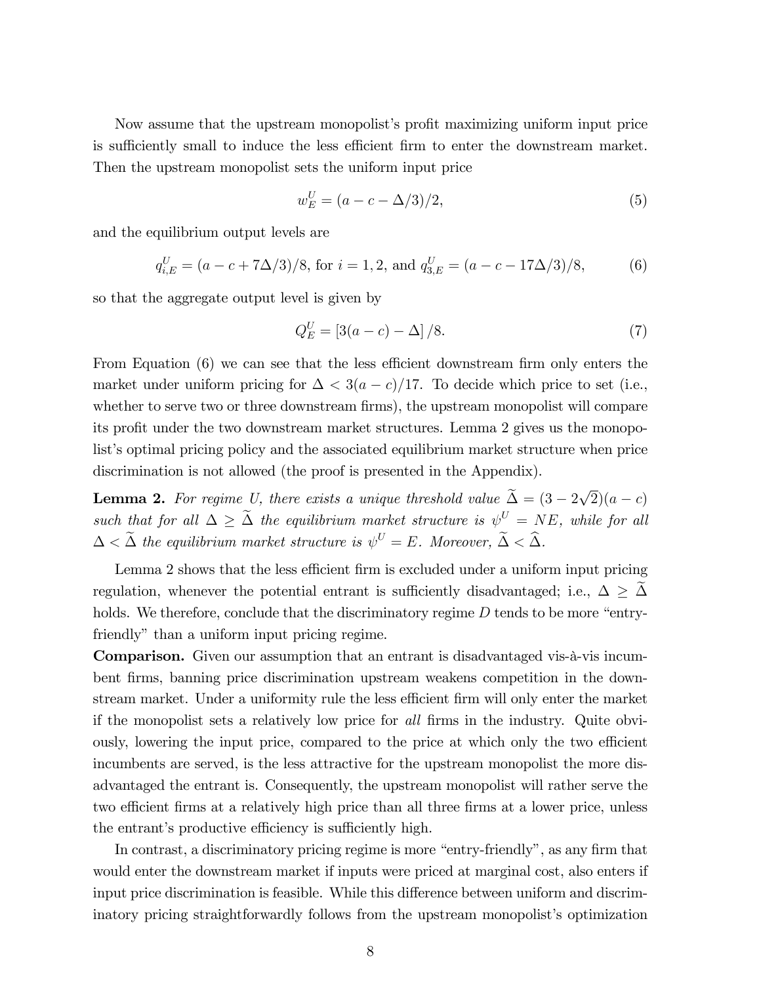Now assume that the upstream monopolist's profit maximizing uniform input price is sufficiently small to induce the less efficient firm to enter the downstream market. Then the upstream monopolist sets the uniform input price

$$
w_E^U = (a - c - \Delta/3)/2,
$$
\n(5)

and the equilibrium output levels are

$$
q_{i,E}^U = (a - c + 7\Delta/3)/8
$$
, for  $i = 1, 2$ , and  $q_{3,E}^U = (a - c - 17\Delta/3)/8$ , (6)

so that the aggregate output level is given by

$$
Q_E^U = [3(a - c) - \Delta] / 8.
$$
 (7)

From Equation  $(6)$  we can see that the less efficient downstream firm only enters the market under uniform pricing for  $\Delta < 3(a-c)/17$ . To decide which price to set (i.e., whether to serve two or three downstream firms), the upstream monopolist will compare its profit under the two downstream market structures. Lemma 2 gives us the monopolist's optimal pricing policy and the associated equilibrium market structure when price discrimination is not allowed (the proof is presented in the Appendix).

**Lemma 2.** For regime U, there exists a unique threshold value  $\tilde{\Delta} = (3 - 2\sqrt{2})(a - c)$ such that for all  $\Delta \geq \tilde{\Delta}$  the equilibrium market structure is  $\psi^U = NE$ , while for all  $\Delta < \tilde{\Delta}$  the equilibrium market structure is  $\psi^U = E$ . Moreover,  $\tilde{\Delta} < \tilde{\Delta}$ .

Lemma 2 shows that the less efficient firm is excluded under a uniform input pricing regulation, whenever the potential entrant is sufficiently disadvantaged; i.e.,  $\Delta \geq \Delta$ holds. We therefore, conclude that the discriminatory regime  $D$  tends to be more "entryfriendly" than a uniform input pricing regime.

**Comparison.** Given our assumption that an entrant is disadvantaged vis- $\hat{a}$ -vis incumbent firms, banning price discrimination upstream weakens competition in the downstream market. Under a uniformity rule the less efficient firm will only enter the market if the monopolist sets a relatively low price for all firms in the industry. Quite obviously, lowering the input price, compared to the price at which only the two efficient incumbents are served, is the less attractive for the upstream monopolist the more disadvantaged the entrant is. Consequently, the upstream monopolist will rather serve the two efficient firms at a relatively high price than all three firms at a lower price, unless the entrant's productive efficiency is sufficiently high.

In contrast, a discriminatory pricing regime is more "entry-friendly", as any firm that would enter the downstream market if inputs were priced at marginal cost, also enters if input price discrimination is feasible. While this difference between uniform and discriminatory pricing straightforwardly follows from the upstream monopolist's optimization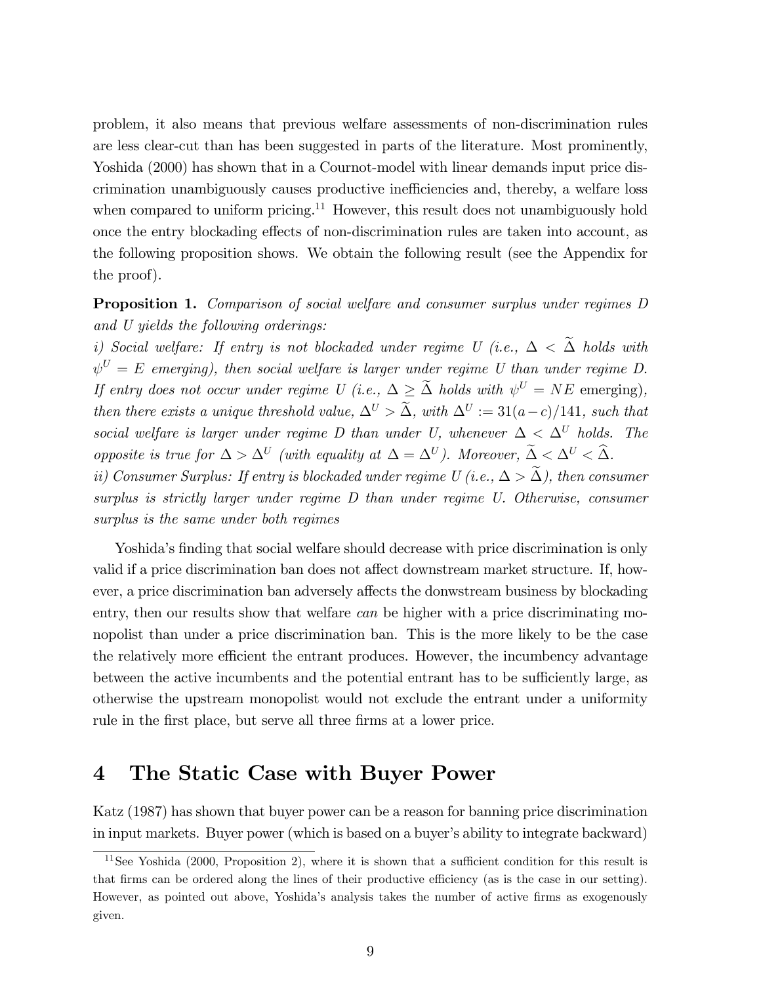problem, it also means that previous welfare assessments of non-discrimination rules are less clear-cut than has been suggested in parts of the literature. Most prominently, Yoshida (2000) has shown that in a Cournot-model with linear demands input price discrimination unambiguously causes productive inefficiencies and, thereby, a welfare loss when compared to uniform pricing.<sup>11</sup> However, this result does not unambiguously hold once the entry blockading effects of non-discrimination rules are taken into account, as the following proposition shows. We obtain the following result (see the Appendix for the proof).

#### Proposition 1. Comparison of social welfare and consumer surplus under regimes D and U yields the following orderings:

i) Social welfare: If entry is not blockaded under regime U (i.e.,  $\Delta < \tilde{\Delta}$  holds with  $\psi^U = E$  emerging), then social welfare is larger under regime U than under regime D. If entry does not occur under regime U (i.e.,  $\Delta \geq \tilde{\Delta}$  holds with  $\psi^U = NE$  emerging), then there exists a unique threshold value,  $\Delta^U > \tilde{\Delta}$ , with  $\Delta^U := 31(a-c)/141$ , such that social welfare is larger under regime D than under U, whenever  $\Delta < \Delta^U$  holds. The opposite is true for  $\Delta > \Delta^U$  (with equality at  $\Delta = \Delta^U$ ). Moreover,  $\Delta < \Delta^U < \tilde{\Delta}$ .

ii) Consumer Surplus: If entry is blockaded under regime U (i.e.,  $\Delta > \widetilde{\Delta}$ ), then consumer surplus is strictly larger under regime D than under regime U. Otherwise, consumer surplus is the same under both regimes

Yoshida's finding that social welfare should decrease with price discrimination is only valid if a price discrimination ban does not affect downstream market structure. If, however, a price discrimination ban adversely affects the donwstream business by blockading entry, then our results show that welfare can be higher with a price discriminating monopolist than under a price discrimination ban. This is the more likely to be the case the relatively more efficient the entrant produces. However, the incumbency advantage between the active incumbents and the potential entrant has to be sufficiently large, as otherwise the upstream monopolist would not exclude the entrant under a uniformity rule in the first place, but serve all three firms at a lower price.

# 4 The Static Case with Buyer Power

Katz (1987) has shown that buyer power can be a reason for banning price discrimination in input markets. Buyer power (which is based on a buyer's ability to integrate backward)

 $11$ See Yoshida (2000, Proposition 2), where it is shown that a sufficient condition for this result is that firms can be ordered along the lines of their productive efficiency (as is the case in our setting). However, as pointed out above, Yoshida's analysis takes the number of active firms as exogenously given.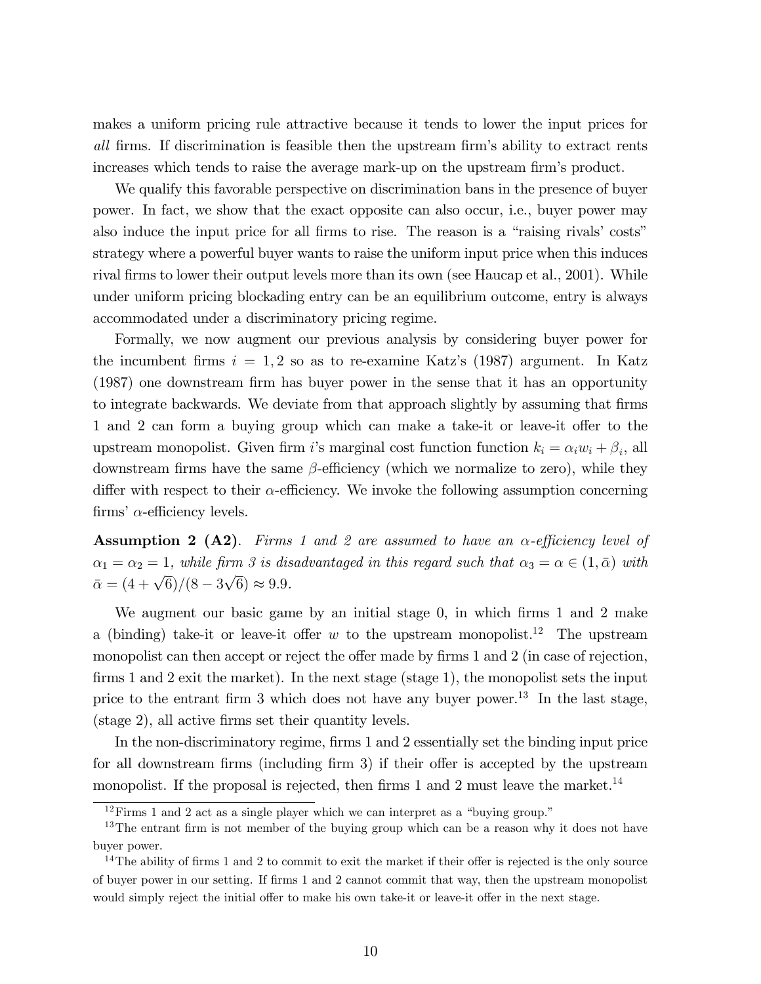makes a uniform pricing rule attractive because it tends to lower the input prices for all firms. If discrimination is feasible then the upstream firm's ability to extract rents increases which tends to raise the average mark-up on the upstream firm's product.

We qualify this favorable perspective on discrimination bans in the presence of buyer power. In fact, we show that the exact opposite can also occur, i.e., buyer power may also induce the input price for all firms to rise. The reason is a "raising rivals" costs" strategy where a powerful buyer wants to raise the uniform input price when this induces rival firms to lower their output levels more than its own (see Haucap et al., 2001). While under uniform pricing blockading entry can be an equilibrium outcome, entry is always accommodated under a discriminatory pricing regime.

Formally, we now augment our previous analysis by considering buyer power for the incumbent firms  $i = 1, 2$  so as to re-examine Katz's (1987) argument. In Katz (1987) one downstream firm has buyer power in the sense that it has an opportunity to integrate backwards. We deviate from that approach slightly by assuming that firms 1 and 2 can form a buying group which can make a take-it or leave-it offer to the upstream monopolist. Given firm i's marginal cost function function  $k_i = \alpha_i w_i + \beta_i$ , all downstream firms have the same  $\beta$ -efficiency (which we normalize to zero), while they differ with respect to their  $\alpha$ -efficiency. We invoke the following assumption concerning firms'  $\alpha$ -efficiency levels.

**Assumption 2 (A2).** Firms 1 and 2 are assumed to have an  $\alpha$ -efficiency level of  $\alpha_1 = \alpha_2 = 1$ , while firm 3 is disadvantaged in this regard such that  $\alpha_3 = \alpha \in (1, \bar{\alpha})$  with  $\bar{\alpha} = (4 + \sqrt{6})/(8 - 3\sqrt{6}) \approx 9.9.$ 

We augment our basic game by an initial stage  $0$ , in which firms 1 and 2 make a (binding) take-it or leave-it offer w to the upstream monopolist.<sup>12</sup> The upstream monopolist can then accept or reject the offer made by firms 1 and 2 (in case of rejection, firms 1 and 2 exit the market). In the next stage (stage 1), the monopolist sets the input price to the entrant firm  $3$  which does not have any buyer power.<sup>13</sup> In the last stage, (stage 2), all active Örms set their quantity levels.

In the non-discriminatory regime, firms 1 and 2 essentially set the binding input price for all downstream firms (including firm 3) if their offer is accepted by the upstream monopolist. If the proposal is rejected, then firms 1 and 2 must leave the market.<sup>14</sup>

 $12$ Firms 1 and 2 act as a single player which we can interpret as a "buying group."

<sup>&</sup>lt;sup>13</sup>The entrant firm is not member of the buying group which can be a reason why it does not have buyer power.

 $14$ The ability of firms 1 and 2 to commit to exit the market if their offer is rejected is the only source of buyer power in our setting. If Örms 1 and 2 cannot commit that way, then the upstream monopolist would simply reject the initial offer to make his own take-it or leave-it offer in the next stage.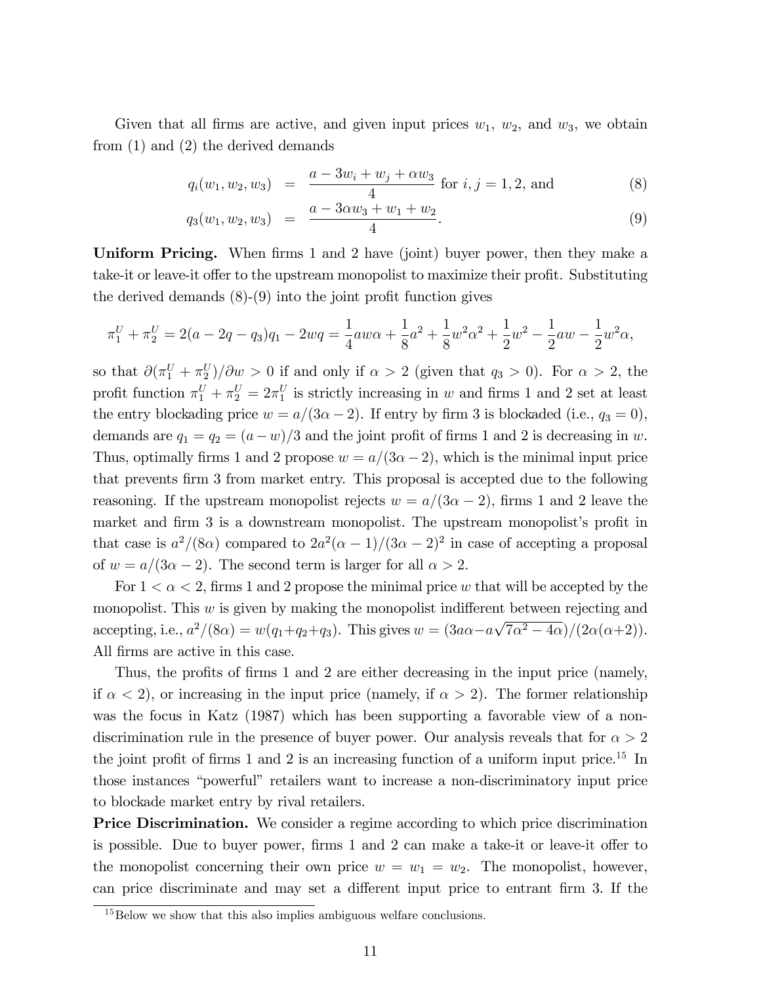Given that all firms are active, and given input prices  $w_1$ ,  $w_2$ , and  $w_3$ , we obtain from (1) and (2) the derived demands

$$
q_i(w_1, w_2, w_3) = \frac{a - 3w_i + w_j + \alpha w_3}{4}
$$
 for  $i, j = 1, 2$ , and (8)

$$
q_3(w_1, w_2, w_3) = \frac{a - 3\alpha w_3 + w_1 + w_2}{4}.
$$
\n(9)

Uniform Pricing. When firms 1 and 2 have (joint) buyer power, then they make a take-it or leave-it offer to the upstream monopolist to maximize their profit. Substituting the derived demands  $(8)-(9)$  into the joint profit function gives

$$
\pi_1^U + \pi_2^U = 2(a - 2q - q_3)q_1 - 2wq = \frac{1}{4}aw\alpha + \frac{1}{8}a^2 + \frac{1}{8}w^2\alpha^2 + \frac{1}{2}w^2 - \frac{1}{2}aw - \frac{1}{2}w^2\alpha,
$$

so that  $\partial(\pi_1^U + \pi_2^U)/\partial w > 0$  if and only if  $\alpha > 2$  (given that  $q_3 > 0$ ). For  $\alpha > 2$ , the profit function  $\pi_1^U + \pi_2^U = 2\pi_1^U$  is strictly increasing in w and firms 1 and 2 set at least the entry blockading price  $w = a/(3\alpha - 2)$ . If entry by firm 3 is blockaded (i.e.,  $q_3 = 0$ ), demands are  $q_1 = q_2 = (a-w)/3$  and the joint profit of firms 1 and 2 is decreasing in w. Thus, optimally firms 1 and 2 propose  $w = a/(3\alpha - 2)$ , which is the minimal input price that prevents Örm 3 from market entry. This proposal is accepted due to the following reasoning. If the upstream monopolist rejects  $w = a/(3\alpha - 2)$ , firms 1 and 2 leave the market and firm 3 is a downstream monopolist. The upstream monopolist's profit in that case is  $a^2/(8\alpha)$  compared to  $2a^2(\alpha-1)/(3\alpha-2)^2$  in case of accepting a proposal of  $w = a/(3\alpha - 2)$ . The second term is larger for all  $\alpha > 2$ .

For  $1 < \alpha < 2$ , firms 1 and 2 propose the minimal price w that will be accepted by the monopolist. This  $w$  is given by making the monopolist indifferent between rejecting and accepting, i.e.,  $a^2/(8\alpha) = w(q_1+q_2+q_3)$ . This gives  $w = (3a\alpha - a\sqrt{7\alpha^2 - 4\alpha})/(2\alpha(\alpha+2))$ . All firms are active in this case.

Thus, the profits of firms 1 and 2 are either decreasing in the input price (namely, if  $\alpha < 2$ , or increasing in the input price (namely, if  $\alpha > 2$ ). The former relationship was the focus in Katz (1987) which has been supporting a favorable view of a nondiscrimination rule in the presence of buyer power. Our analysis reveals that for  $\alpha > 2$ the joint profit of firms 1 and 2 is an increasing function of a uniform input price.<sup>15</sup> In those instances "powerful" retailers want to increase a non-discriminatory input price to blockade market entry by rival retailers.

**Price Discrimination.** We consider a regime according to which price discrimination is possible. Due to buyer power, firms 1 and 2 can make a take-it or leave-it offer to the monopolist concerning their own price  $w = w_1 = w_2$ . The monopolist, however, can price discriminate and may set a different input price to entrant firm 3. If the

<sup>&</sup>lt;sup>15</sup>Below we show that this also implies ambiguous welfare conclusions.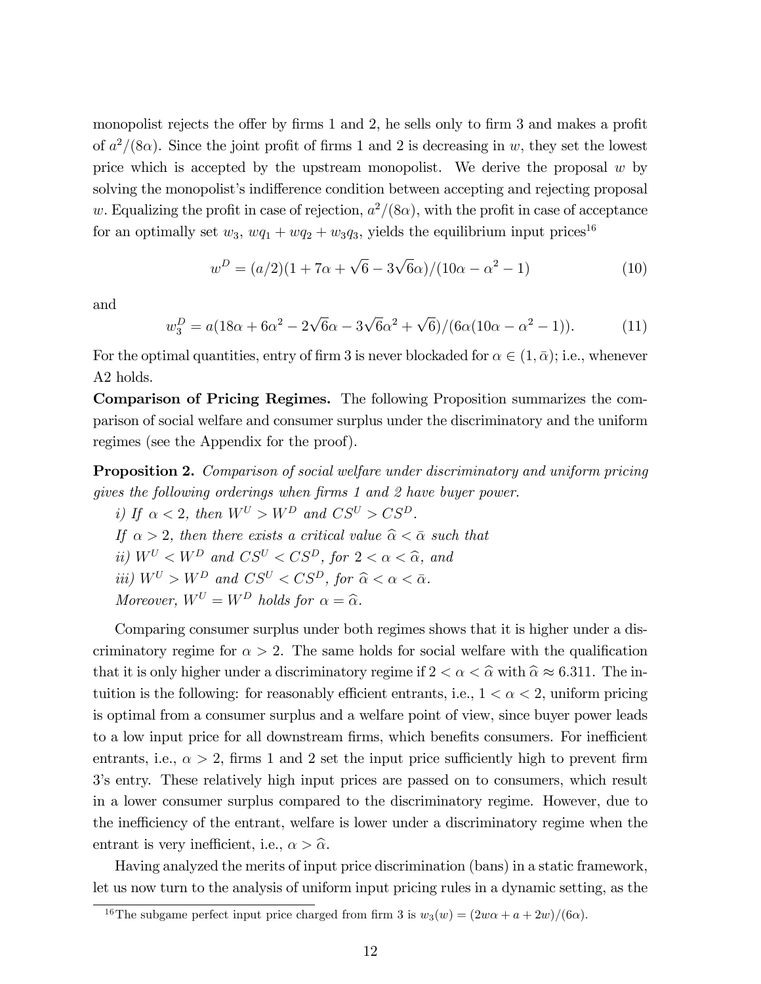monopolist rejects the offer by firms  $1$  and  $2$ , he sells only to firm  $3$  and makes a profit of  $a^2/(8\alpha)$ . Since the joint profit of firms 1 and 2 is decreasing in w, they set the lowest price which is accepted by the upstream monopolist. We derive the proposal  $w$  by solving the monopolist's indifference condition between accepting and rejecting proposal w. Equalizing the profit in case of rejection,  $a^2/(8\alpha)$ , with the profit in case of acceptance for an optimally set  $w_3$ ,  $wq_1 + wq_2 + w_3q_3$ , yields the equilibrium input prices<sup>16</sup>

$$
w^{D} = (a/2)(1 + 7\alpha + \sqrt{6} - 3\sqrt{6}\alpha)/(10\alpha - \alpha^{2} - 1)
$$
\n(10)

and

 $w_3^D = a(18\alpha + 6\alpha^2 - 2\sqrt{6}\alpha - 3\sqrt{6}\alpha^2 + \sqrt{6})/(6\alpha(10\alpha - \alpha^2 - 1)).$  (11)

For the optimal quantities, entry of firm 3 is never blockaded for  $\alpha \in (1, \bar{\alpha})$ ; i.e., whenever A2 holds.

Comparison of Pricing Regimes. The following Proposition summarizes the comparison of social welfare and consumer surplus under the discriminatory and the uniform regimes (see the Appendix for the proof).

Proposition 2. Comparison of social welfare under discriminatory and uniform pricing gives the following orderings when firms 1 and 2 have buyer power.

i) If  $\alpha < 2$ , then  $W^U > W^D$  and  $CS^U > CS^D$ . If  $\alpha > 2$ , then there exists a critical value  $\hat{\alpha} < \bar{\alpha}$  such that ii)  $W^U < W^D$  and  $CS^U < CS^D$ , for  $2 < \alpha < \hat{\alpha}$ , and iii)  $W^U > W^D$  and  $CS^U < CS^D$ , for  $\hat{\alpha} < \alpha < \bar{\alpha}$ . Moreover,  $W^U = W^D$  holds for  $\alpha = \widehat{\alpha}$ .

Comparing consumer surplus under both regimes shows that it is higher under a discriminatory regime for  $\alpha > 2$ . The same holds for social welfare with the qualification that it is only higher under a discriminatory regime if  $2 < \alpha < \hat{\alpha}$  with  $\hat{\alpha} \approx 6.311$ . The intuition is the following: for reasonably efficient entrants, i.e.,  $1 < \alpha < 2$ , uniform pricing is optimal from a consumer surplus and a welfare point of view, since buyer power leads to a low input price for all downstream firms, which benefits consumers. For inefficient entrants, i.e.,  $\alpha > 2$ , firms 1 and 2 set the input price sufficiently high to prevent firm 3ís entry. These relatively high input prices are passed on to consumers, which result in a lower consumer surplus compared to the discriminatory regime. However, due to the inefficiency of the entrant, welfare is lower under a discriminatory regime when the entrant is very inefficient, i.e.,  $\alpha > \hat{\alpha}$ .

Having analyzed the merits of input price discrimination (bans) in a static framework, let us now turn to the analysis of uniform input pricing rules in a dynamic setting, as the

<sup>&</sup>lt;sup>16</sup>The subgame perfect input price charged from firm 3 is  $w_3(w) = (2w\alpha + a + 2w)/(6\alpha)$ .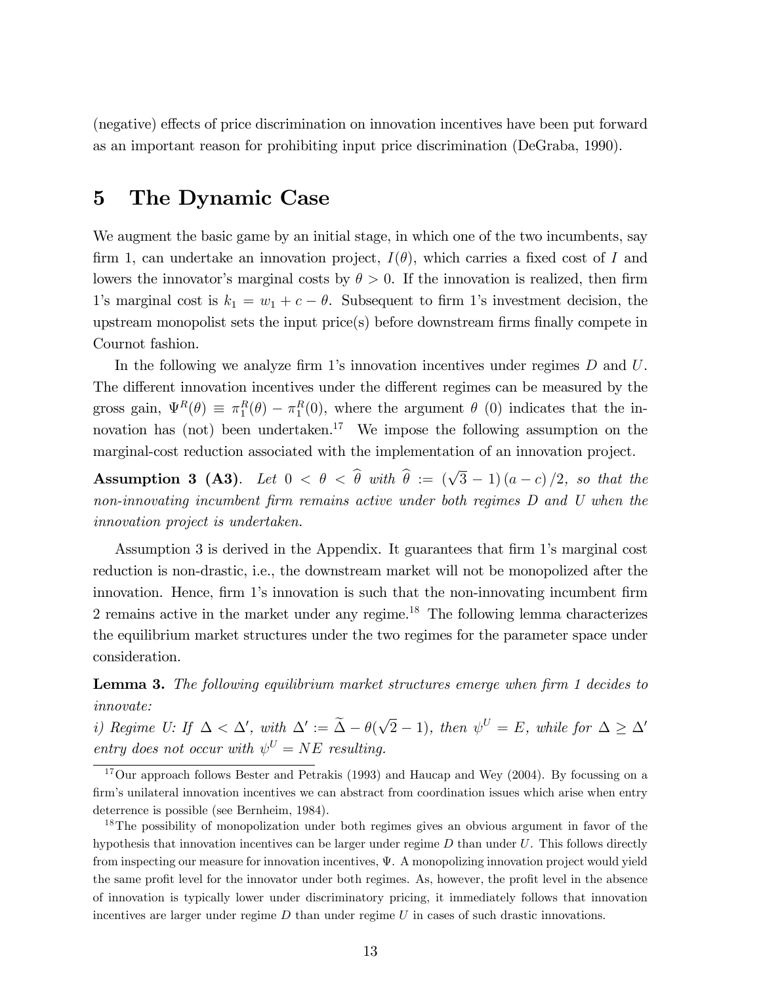(negative) effects of price discrimination on innovation incentives have been put forward as an important reason for prohibiting input price discrimination (DeGraba, 1990).

#### 5 The Dynamic Case

We augment the basic game by an initial stage, in which one of the two incumbents, say firm 1, can undertake an innovation project,  $I(\theta)$ , which carries a fixed cost of I and lowers the innovator's marginal costs by  $\theta > 0$ . If the innovation is realized, then firm 1's marginal cost is  $k_1 = w_1 + c - \theta$ . Subsequent to firm 1's investment decision, the upstream monopolist sets the input price $(s)$  before downstream firms finally compete in Cournot fashion.

In the following we analyze firm 1's innovation incentives under regimes  $D$  and  $U$ . The different innovation incentives under the different regimes can be measured by the gross gain,  $\Psi^R(\theta) \equiv \pi_1^R(\theta) - \pi_1^R(0)$ , where the argument  $\theta$  (0) indicates that the innovation has (not) been undertaken.<sup>17</sup> We impose the following assumption on the marginal-cost reduction associated with the implementation of an innovation project.

**Assumption 3 (A3).** Let  $0 < \theta < \hat{\theta}$  with  $\hat{\theta} := (\sqrt{3} - 1)(a - c)/2$ , so that the non-innovating incumbent firm remains active under both regimes D and U when the innovation project is undertaken.

Assumption 3 is derived in the Appendix. It guarantees that firm 1's marginal cost reduction is non-drastic, i.e., the downstream market will not be monopolized after the innovation. Hence, firm 1's innovation is such that the non-innovating incumbent firm 2 remains active in the market under any regime.<sup>18</sup> The following lemma characterizes the equilibrium market structures under the two regimes for the parameter space under consideration.

**Lemma 3.** The following equilibrium market structures emerge when firm 1 decides to innovate:

i) Regime U: If  $\Delta < \Delta'$ , with  $\Delta' := \tilde{\Delta} - \theta(\sqrt{2} - 1)$ , then  $\psi^U = E$ , while for  $\Delta \geq \Delta'$ entry does not occur with  $\psi^U = NE$  resulting.

 $17$ Our approach follows Bester and Petrakis (1993) and Haucap and Wey (2004). By focussing on a firm's unilateral innovation incentives we can abstract from coordination issues which arise when entry deterrence is possible (see Bernheim, 1984).

<sup>&</sup>lt;sup>18</sup>The possibility of monopolization under both regimes gives an obvious argument in favor of the hypothesis that innovation incentives can be larger under regime  $D$  than under  $U$ . This follows directly from inspecting our measure for innovation incentives,  $\Psi$ . A monopolizing innovation project would yield the same profit level for the innovator under both regimes. As, however, the profit level in the absence of innovation is typically lower under discriminatory pricing, it immediately follows that innovation incentives are larger under regime  $D$  than under regime  $U$  in cases of such drastic innovations.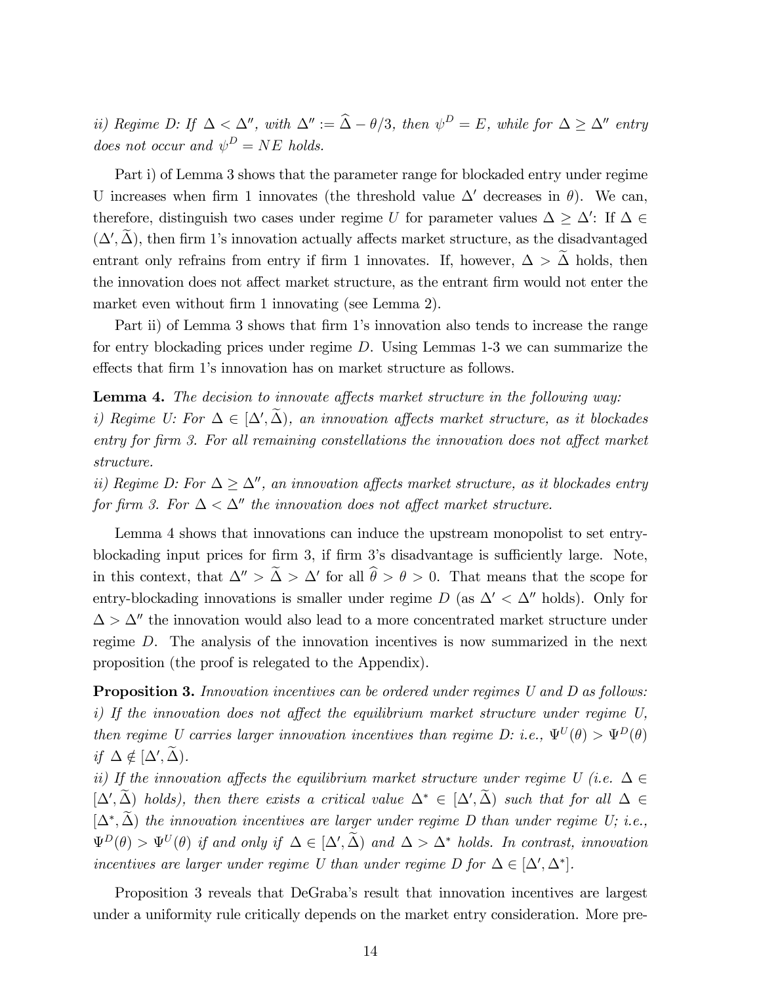ii) Regime D: If  $\Delta < \Delta''$ , with  $\Delta'' := \hat{\Delta} - \theta/3$ , then  $\psi^D = E$ , while for  $\Delta \geq \Delta''$  entry does not occur and  $\psi^D = NE$  holds.

Part i) of Lemma 3 shows that the parameter range for blockaded entry under regime U increases when firm 1 innovates (the threshold value  $\Delta'$  decreases in  $\theta$ ). We can, therefore, distinguish two cases under regime U for parameter values  $\Delta \geq \Delta'$ : If  $\Delta \in$  $(\Delta', \Delta)$ , then firm 1's innovation actually affects market structure, as the disadvantaged entrant only refrains from entry if firm 1 innovates. If, however,  $\Delta > \tilde{\Delta}$  holds, then the innovation does not affect market structure, as the entrant firm would not enter the market even without firm 1 innovating (see Lemma 2).

Part ii) of Lemma 3 shows that firm 1's innovation also tends to increase the range for entry blockading prices under regime D. Using Lemmas 1-3 we can summarize the effects that firm 1's innovation has on market structure as follows.

Lemma 4. The decision to innovate affects market structure in the following way: i) Regime U: For  $\Delta \in [\Delta', \Delta)$ , an innovation affects market structure, as it blockades entry for firm 3. For all remaining constellations the innovation does not affect market structure.

ii) Regime D: For  $\Delta \geq \Delta''$ , an innovation affects market structure, as it blockades entry for firm 3. For  $\Delta < \Delta''$  the innovation does not affect market structure.

Lemma 4 shows that innovations can induce the upstream monopolist to set entryblockading input prices for firm 3, if firm 3's disadvantage is sufficiently large. Note, in this context, that  $\Delta'' > \Delta > \Delta'$  for all  $\theta > \theta > 0$ . That means that the scope for entry-blockading innovations is smaller under regime  $D$  (as  $\Delta' < \Delta''$  holds). Only for  $\Delta > \Delta''$  the innovation would also lead to a more concentrated market structure under regime D. The analysis of the innovation incentives is now summarized in the next proposition (the proof is relegated to the Appendix).

**Proposition 3.** Innovation incentives can be ordered under regimes U and D as follows: i) If the innovation does not affect the equilibrium market structure under regime  $U$ , then regime U carries larger innovation incentives than regime D: i.e.,  $\Psi^{U}(\theta) > \Psi^{D}(\theta)$ if  $\Delta \notin [\Delta', \Delta)$ .

ii) If the innovation affects the equilibrium market structure under regime U (i.e.  $\Delta \in$  $[\Delta', \Delta)$  holds), then there exists a critical value  $\Delta^* \in [\Delta', \Delta)$  such that for all  $\Delta \in$  $[\Delta^*,\Delta)$  the innovation incentives are larger under regime D than under regime U; i.e.,  $\Psi^D(\theta) > \Psi^U(\theta)$  if and only if  $\Delta \in [\Delta', \tilde{\Delta})$  and  $\Delta > \Delta^*$  holds. In contrast, innovation incentives are larger under regime U than under regime D for  $\Delta \in [\Delta', \Delta^*].$ 

Proposition 3 reveals that DeGraba's result that innovation incentives are largest under a uniformity rule critically depends on the market entry consideration. More pre-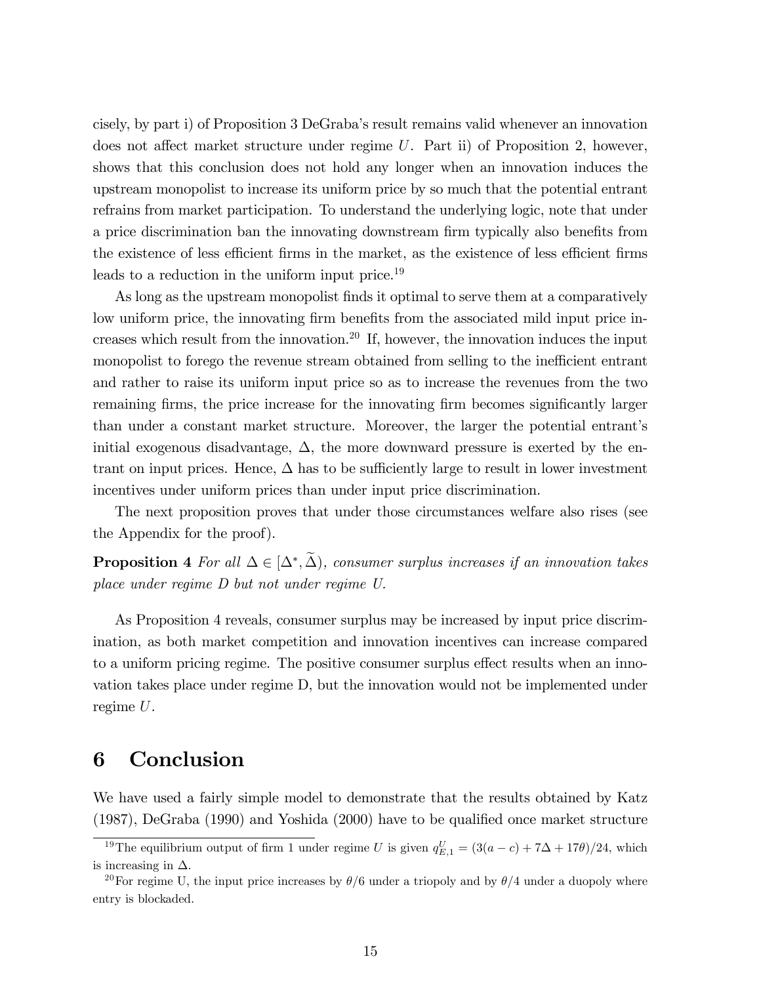cisely, by part i) of Proposition 3 DeGrabaís result remains valid whenever an innovation does not affect market structure under regime  $U$ . Part ii) of Proposition 2, however, shows that this conclusion does not hold any longer when an innovation induces the upstream monopolist to increase its uniform price by so much that the potential entrant refrains from market participation. To understand the underlying logic, note that under a price discrimination ban the innovating downstream firm typically also benefits from the existence of less efficient firms in the market, as the existence of less efficient firms leads to a reduction in the uniform input price.<sup>19</sup>

As long as the upstream monopolist finds it optimal to serve them at a comparatively low uniform price, the innovating firm benefits from the associated mild input price increases which result from the innovation.<sup>20</sup> If, however, the innovation induces the input monopolist to forego the revenue stream obtained from selling to the inefficient entrant and rather to raise its uniform input price so as to increase the revenues from the two remaining firms, the price increase for the innovating firm becomes significantly larger than under a constant market structure. Moreover, the larger the potential entrant's initial exogenous disadvantage,  $\Delta$ , the more downward pressure is exerted by the entrant on input prices. Hence,  $\Delta$  has to be sufficiently large to result in lower investment incentives under uniform prices than under input price discrimination.

The next proposition proves that under those circumstances welfare also rises (see the Appendix for the proof).

**Proposition 4** For all  $\Delta \in [\Delta^*, \Delta)$ , consumer surplus increases if an innovation takes place under regime D but not under regime U.

As Proposition 4 reveals, consumer surplus may be increased by input price discrimination, as both market competition and innovation incentives can increase compared to a uniform pricing regime. The positive consumer surplus effect results when an innovation takes place under regime D, but the innovation would not be implemented under regime U.

# 6 Conclusion

We have used a fairly simple model to demonstrate that the results obtained by Katz  $(1987)$ , DeGraba  $(1990)$  and Yoshida  $(2000)$  have to be qualified once market structure

<sup>&</sup>lt;sup>19</sup>The equilibrium output of firm 1 under regime U is given  $q_{E,1}^U = (3(a-c) + 7\Delta + 17\theta)/24$ , which is increasing in  $\Delta$ .

<sup>&</sup>lt;sup>20</sup>For regime U, the input price increases by  $\theta/6$  under a triopoly and by  $\theta/4$  under a duopoly where entry is blockaded.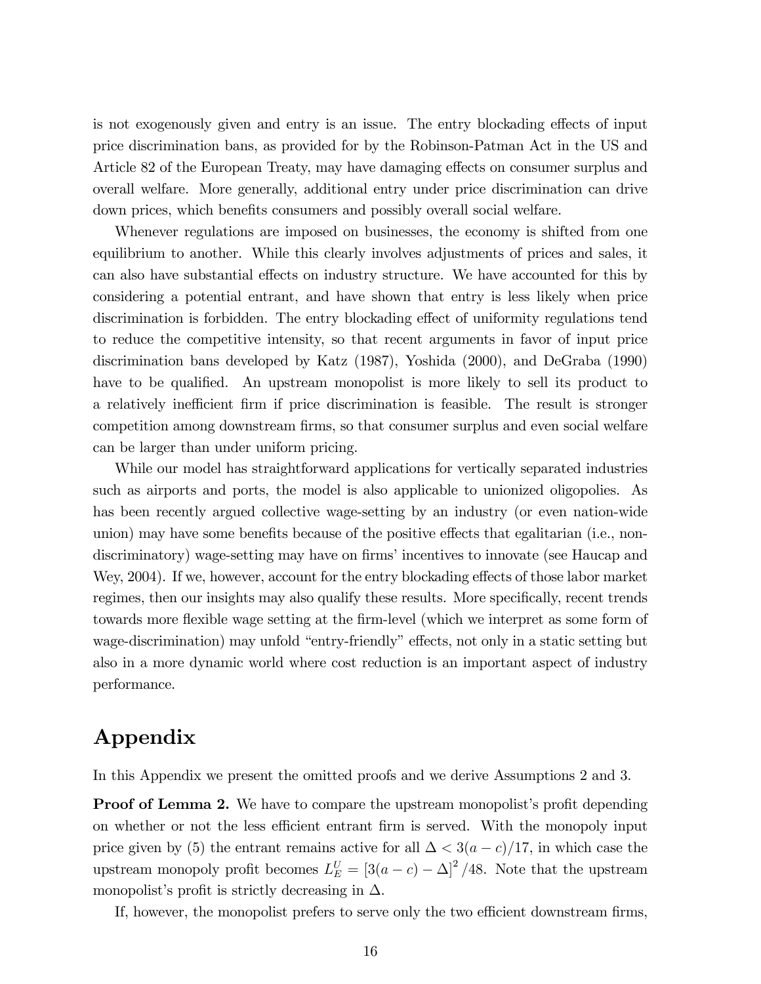is not exogenously given and entry is an issue. The entry blockading effects of input price discrimination bans, as provided for by the Robinson-Patman Act in the US and Article 82 of the European Treaty, may have damaging effects on consumer surplus and overall welfare. More generally, additional entry under price discrimination can drive down prices, which benefits consumers and possibly overall social welfare.

Whenever regulations are imposed on businesses, the economy is shifted from one equilibrium to another. While this clearly involves adjustments of prices and sales, it can also have substantial effects on industry structure. We have accounted for this by considering a potential entrant, and have shown that entry is less likely when price discrimination is forbidden. The entry blockading effect of uniformity regulations tend to reduce the competitive intensity, so that recent arguments in favor of input price discrimination bans developed by Katz (1987), Yoshida (2000), and DeGraba (1990) have to be qualified. An upstream monopolist is more likely to sell its product to a relatively inefficient firm if price discrimination is feasible. The result is stronger competition among downstream firms, so that consumer surplus and even social welfare can be larger than under uniform pricing.

While our model has straightforward applications for vertically separated industries such as airports and ports, the model is also applicable to unionized oligopolies. As has been recently argued collective wage-setting by an industry (or even nation-wide union) may have some benefits because of the positive effects that egalitarian (i.e., nondiscriminatory) wage-setting may have on firms' incentives to innovate (see Haucap and Wey, 2004). If we, however, account for the entry blockading effects of those labor market regimes, then our insights may also qualify these results. More specifically, recent trends towards more flexible wage setting at the firm-level (which we interpret as some form of wage-discrimination) may unfold "entry-friendly" effects, not only in a static setting but also in a more dynamic world where cost reduction is an important aspect of industry performance.

# Appendix

In this Appendix we present the omitted proofs and we derive Assumptions 2 and 3.

**Proof of Lemma 2.** We have to compare the upstream monopolist's profit depending on whether or not the less efficient entrant firm is served. With the monopoly input price given by (5) the entrant remains active for all  $\Delta < 3(a-c)/17$ , in which case the upstream monopoly profit becomes  $L_E^U = [3(a-c) - \Delta]^2/48$ . Note that the upstream monopolist's profit is strictly decreasing in  $\Delta$ .

If, however, the monopolist prefers to serve only the two efficient downstream firms,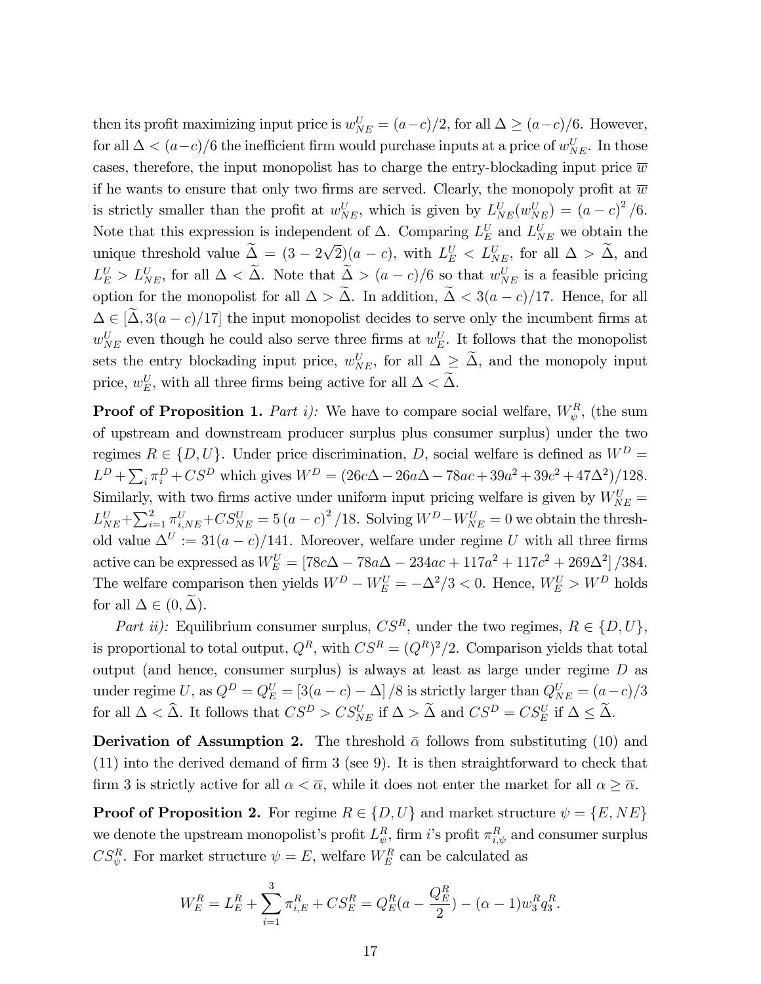then its profit maximizing input price is  $w_{NE}^U = (a-c)/2$ , for all  $\Delta \ge (a-c)/6$ . However, for all  $\Delta < (a-c)/6$  the inefficient firm would purchase inputs at a price of  $w_{NE}^U$ . In those cases, therefore, the input monopolist has to charge the entry-blockading input price  $\overline{w}$ if he wants to ensure that only two firms are served. Clearly, the monopoly profit at  $\overline{w}$ is strictly smaller than the profit at  $w_{NE}^U$ , which is given by  $L_{NE}^U(w_{NE}^U) = (a-c)^2/6$ . Note that this expression is independent of  $\Delta$ . Comparing  $L_E^U$  and  $L_{NE}^U$  we obtain the unique threshold value  $\tilde{\Delta} = (3 - 2\sqrt{2})(a - c)$ , with  $L_E^U < L_{NE}^U$ , for all  $\Delta > \tilde{\Delta}$ , and  $L_E^U > L_{NE}^U$ , for all  $\Delta < \Delta$ . Note that  $\Delta > (a - c)/6$  so that  $w_{NE}^U$  is a feasible pricing option for the monopolist for all  $\Delta > \tilde{\Delta}$ . In addition,  $\tilde{\Delta} < 3(a-c)/17$ . Hence, for all  $\Delta \in [\Delta, 3(a-c)/17]$  the input monopolist decides to serve only the incumbent firms at  $w_{NE}^U$  even though he could also serve three firms at  $w_E^U$ . It follows that the monopolist sets the entry blockading input price,  $w_{NE}^U$ , for all  $\Delta \geq \Delta$ , and the monopoly input price,  $w_E^U$ , with all three firms being active for all  $\Delta < \Delta$ .

**Proof of Proposition 1.** Part i): We have to compare social welfare,  $W_{\psi}^{R}$ , (the sum of upstream and downstream producer surplus plus consumer surplus) under the two regimes  $R \in \{D, U\}$ . Under price discrimination, D, social welfare is defined as  $W^D$  =  $L^D + \sum_i \pi_i^D + CS^D$  which gives  $W^D = (26c\Delta - 26a\Delta - 78ac + 39a^2 + 39c^2 + 47\Delta^2)/128$ . Similarly, with two firms active under uniform input pricing welfare is given by  $W_{NE}^U$  =  $L_{NE}^U + \sum_{i=1}^2 \pi_{i,NE}^U + CS_{NE}^U = 5 (a - c)^2 / 18$ . Solving  $W^D - W_{NE}^U = 0$  we obtain the threshold value  $\Delta^U := 31(a-c)/141$ . Moreover, welfare under regime U with all three firms active can be expressed as  $W_E^U = [78c\Delta - 78a\Delta - 234ac + 117a^2 + 117c^2 + 269\Delta^2]/384.$ The welfare comparison then yields  $W^D - W_E^U = -\Delta^2/3 < 0$ . Hence,  $W_E^U > W^D$  holds for all  $\Delta \in (0, \Delta)$ .

Part ii): Equilibrium consumer surplus,  $CS^R$ , under the two regimes,  $R \in \{D, U\}$ , is proportional to total output,  $Q^R$ , with  $CS^R = (Q^R)^2/2$ . Comparison yields that total output (and hence, consumer surplus) is always at least as large under regime D as under regime U, as  $Q^D = Q_E^U = [3(a-c) - \Delta] / 8$  is strictly larger than  $Q_{NE}^U = (a-c)/3$ for all  $\Delta < \hat{\Delta}$ . It follows that  $CS^D > CS_{NE}^U$  if  $\Delta > \hat{\Delta}$  and  $CS^D = CS_E^U$  if  $\Delta \leq \hat{\Delta}$ .

**Derivation of Assumption 2.** The threshold  $\bar{\alpha}$  follows from substituting (10) and  $(11)$  into the derived demand of firm 3 (see 9). It is then straightforward to check that firm 3 is strictly active for all  $\alpha < \overline{\alpha}$ , while it does not enter the market for all  $\alpha \geq \overline{\alpha}$ .

**Proof of Proposition 2.** For regime  $R \in \{D, U\}$  and market structure  $\psi = \{E, NE\}$ we denote the upstream monopolist's profit  $L^R_{\psi}$ , firm i's profit  $\pi^R_{i,\psi}$  and consumer surplus  $CS_{\psi}^R$ . For market structure  $\psi = E$ , welfare  $W_E^R$  can be calculated as

$$
W_E^R = L_E^R + \sum_{i=1}^3 \pi_{i,E}^R + CS_E^R = Q_E^R(a - \frac{Q_E^R}{2}) - (\alpha - 1)w_3^R q_3^R.
$$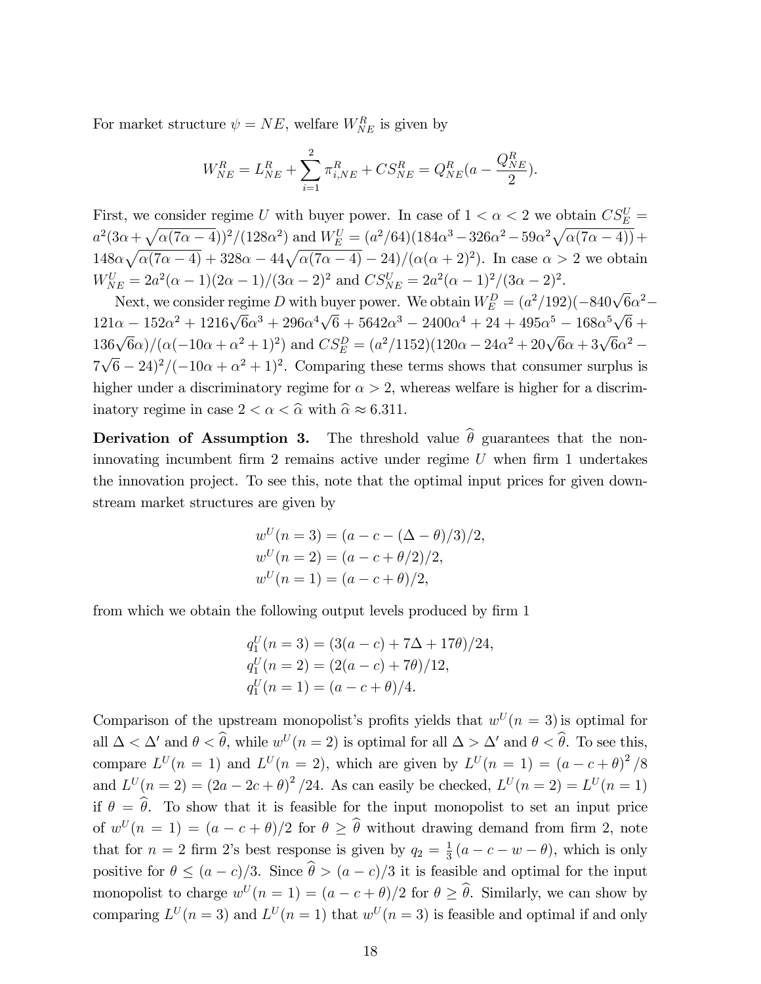For market structure  $\psi = NE$ , welfare  $W_{NE}^R$  is given by

$$
W_{NE}^R = L_{NE}^R + \sum_{i=1}^2 \pi_{i,NE}^R + CS_{NE}^R = Q_{NE}^R (a - \frac{Q_{NE}^R}{2}).
$$

First, we consider regime U with buyer power. In case of  $1 < \alpha < 2$  we obtain  $CS_E^U$  =  $a^2(3\alpha + \sqrt{\alpha(7\alpha - 4)})^2/(128\alpha^2)$  and  $W_E^U = (a^2/64)(184\alpha^3 - 326\alpha^2 - 59\alpha^2\sqrt{\alpha(7\alpha - 4)}) +$  $148\alpha\sqrt{\alpha(7\alpha-4)}+328\alpha-44\sqrt{\alpha(7\alpha-4)}-24)/(\alpha(\alpha+2)^2)$ . In case  $\alpha>2$  we obtain  $W_{NE}^U = 2a^2(\alpha - 1)(2\alpha - 1)/(3\alpha - 2)^2$  and  $CS_{NE}^U = 2a^2(\alpha - 1)^2/(3\alpha - 2)^2$ .

Next, we consider regime D with buyer power. We obtain  $W_E^D = (a^2/192)(-840\sqrt{6}\alpha^2 121\alpha - 152\alpha^2 + 1216\sqrt{6}\alpha^3 + 296\alpha^4\sqrt{6} + 5642\alpha^3 - 2400\alpha^4 + 24 + 495\alpha^5 - 168\alpha^5\sqrt{6} +$  $136\sqrt{6}\alpha/(\alpha(-10\alpha+\alpha^2+1)^2)$  and  $CS_E^D = (a^2/1152)(120\alpha - 24\alpha^2 + 20\sqrt{6}\alpha + 3\sqrt{6}\alpha^2 7\sqrt{6} - 24)^2/(-10\alpha + \alpha^2 + 1)^2$ . Comparing these terms shows that consumer surplus is higher under a discriminatory regime for  $\alpha > 2$ , whereas welfare is higher for a discriminatory regime in case  $2 < \alpha < \hat{\alpha}$  with  $\hat{\alpha} \approx 6.311$ .

**Derivation of Assumption 3.** The threshold value  $\hat{\theta}$  guarantees that the noninnovating incumbent firm 2 remains active under regime  $U$  when firm 1 undertakes the innovation project. To see this, note that the optimal input prices for given downstream market structures are given by

$$
w^{U}(n = 3) = (a - c - (\Delta - \theta)/3)/2,
$$
  
\n
$$
w^{U}(n = 2) = (a - c + \theta/2)/2,
$$
  
\n
$$
w^{U}(n = 1) = (a - c + \theta)/2,
$$

from which we obtain the following output levels produced by firm 1

$$
q_1^U(n=3) = (3(a-c) + 7\Delta + 17\theta)/24,
$$
  
\n
$$
q_1^U(n=2) = (2(a-c) + 7\theta)/12,
$$
  
\n
$$
q_1^U(n=1) = (a-c+\theta)/4.
$$

Comparison of the upstream monopolist's profits yields that  $w^U(n=3)$  is optimal for all  $\Delta < \Delta'$  and  $\theta < \hat{\theta}$ , while  $w^U(n=2)$  is optimal for all  $\Delta > \Delta'$  and  $\theta < \hat{\theta}$ . To see this, compare  $L^U(n = 1)$  and  $L^U(n = 2)$ , which are given by  $L^U(n = 1) = (a - c + \theta)^2/8$ and  $L^U(n = 2) = (2a - 2c + \theta)^2/24$ . As can easily be checked,  $L^U(n = 2) = L^U(n = 1)$ if  $\theta = \hat{\theta}$ . To show that it is feasible for the input monopolist to set an input price of  $w^U(n = 1) = (a - c + \theta)/2$  for  $\theta \geq \hat{\theta}$  without drawing demand from firm 2, note that for  $n = 2$  firm 2's best response is given by  $q_2 = \frac{1}{3}$  $\frac{1}{3}(a-c-w-\theta)$ , which is only positive for  $\theta \leq (a - c)/3$ . Since  $\hat{\theta} > (a - c)/3$  it is feasible and optimal for the input monopolist to charge  $w^{U}(n = 1) = (a - c + \theta)/2$  for  $\theta \geq \theta$ . Similarly, we can show by comparing  $L^U(n=3)$  and  $L^U(n=1)$  that  $w^U(n=3)$  is feasible and optimal if and only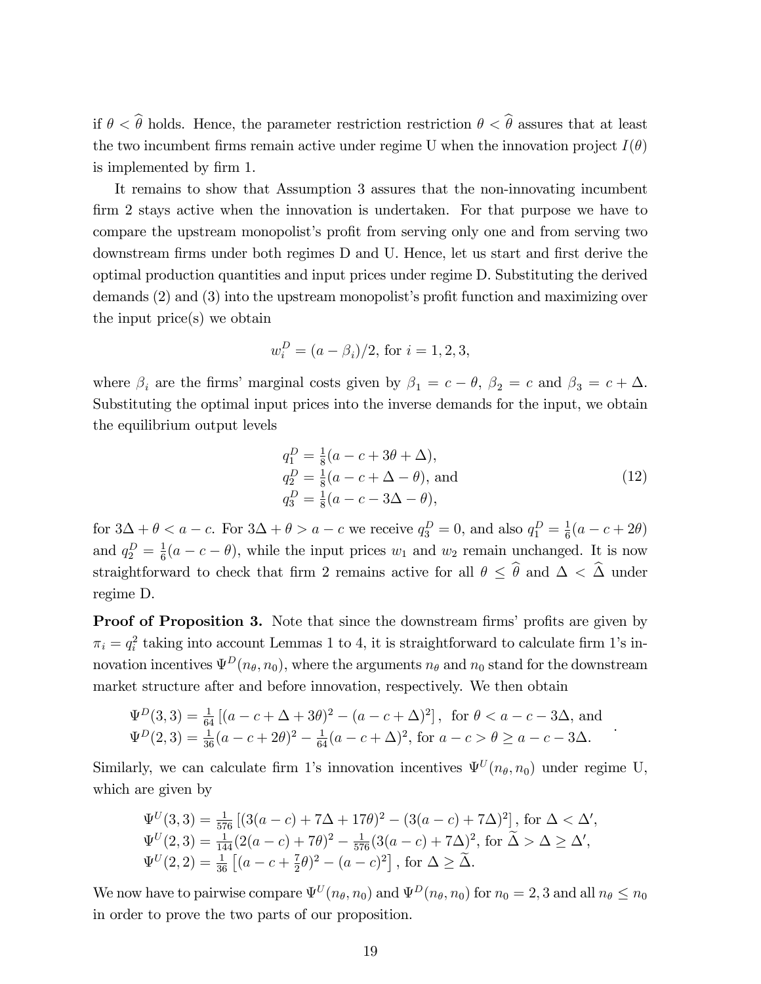if  $\theta < \hat{\theta}$  holds. Hence, the parameter restriction restriction  $\theta < \hat{\theta}$  assures that at least the two incumbent firms remain active under regime U when the innovation project  $I(\theta)$ is implemented by firm 1.

It remains to show that Assumption 3 assures that the non-innovating incumbent firm 2 stays active when the innovation is undertaken. For that purpose we have to compare the upstream monopolist's profit from serving only one and from serving two downstream firms under both regimes D and U. Hence, let us start and first derive the optimal production quantities and input prices under regime D. Substituting the derived demands  $(2)$  and  $(3)$  into the upstream monopolist's profit function and maximizing over the input price(s) we obtain

$$
w_i^D = (a - \beta_i)/2
$$
, for  $i = 1, 2, 3$ ,

where  $\beta_i$  are the firms' marginal costs given by  $\beta_1 = c - \theta$ ,  $\beta_2 = c$  and  $\beta_3 = c + \Delta$ . Substituting the optimal input prices into the inverse demands for the input, we obtain the equilibrium output levels

$$
q_1^D = \frac{1}{8}(a - c + 3\theta + \Delta),
$$
  
\n
$$
q_2^D = \frac{1}{8}(a - c + \Delta - \theta),
$$
 and  
\n
$$
q_3^D = \frac{1}{8}(a - c - 3\Delta - \theta),
$$
\n(12)

.

for  $3\Delta + \theta < a - c$ . For  $3\Delta + \theta > a - c$  we receive  $q_3^D = 0$ , and also  $q_1^D = \frac{1}{6}$  $\frac{1}{6}(a-c+2\theta)$ and  $q_2^D = \frac{1}{6}$  $\frac{1}{6}(a-c-\theta)$ , while the input prices  $w_1$  and  $w_2$  remain unchanged. It is now straightforward to check that firm 2 remains active for all  $\theta \leq \hat{\theta}$  and  $\Delta < \hat{\Delta}$  under regime D.

Proof of Proposition 3. Note that since the downstream firms' profits are given by  $\pi_i = q_i^2$  taking into account Lemmas 1 to 4, it is straightforward to calculate firm 1's innovation incentives  $\Psi^D(n_\theta, n_0)$ , where the arguments  $n_\theta$  and  $n_0$  stand for the downstream market structure after and before innovation, respectively. We then obtain

$$
\Psi^{D}(3,3) = \frac{1}{64} \left[ (a - c + \Delta + 3\theta)^{2} - (a - c + \Delta)^{2} \right], \text{ for } \theta < a - c - 3\Delta, \text{ and}
$$
  

$$
\Psi^{D}(2,3) = \frac{1}{36} (a - c + 2\theta)^{2} - \frac{1}{64} (a - c + \Delta)^{2}, \text{ for } a - c > \theta \ge a - c - 3\Delta.
$$

Similarly, we can calculate firm 1's innovation incentives  $\Psi^{U}(n_{\theta}, n_{0})$  under regime U, which are given by

$$
\Psi^{U}(3,3) = \frac{1}{576} \left[ (3(a-c) + 7\Delta + 17\theta)^{2} - (3(a-c) + 7\Delta)^{2} \right], \text{ for } \Delta < \Delta',
$$
  
\n
$$
\Psi^{U}(2,3) = \frac{1}{144} (2(a-c) + 7\theta)^{2} - \frac{1}{576} (3(a-c) + 7\Delta)^{2}, \text{ for } \widetilde{\Delta} > \Delta \ge \Delta',
$$
  
\n
$$
\Psi^{U}(2,2) = \frac{1}{36} \left[ (a-c + \frac{7}{2}\theta)^{2} - (a-c)^{2} \right], \text{ for } \Delta \ge \widetilde{\Delta}.
$$

We now have to pairwise compare  $\Psi^U(n_{\theta}, n_0)$  and  $\Psi^D(n_{\theta}, n_0)$  for  $n_0 = 2, 3$  and all  $n_{\theta} \le n_0$ in order to prove the two parts of our proposition.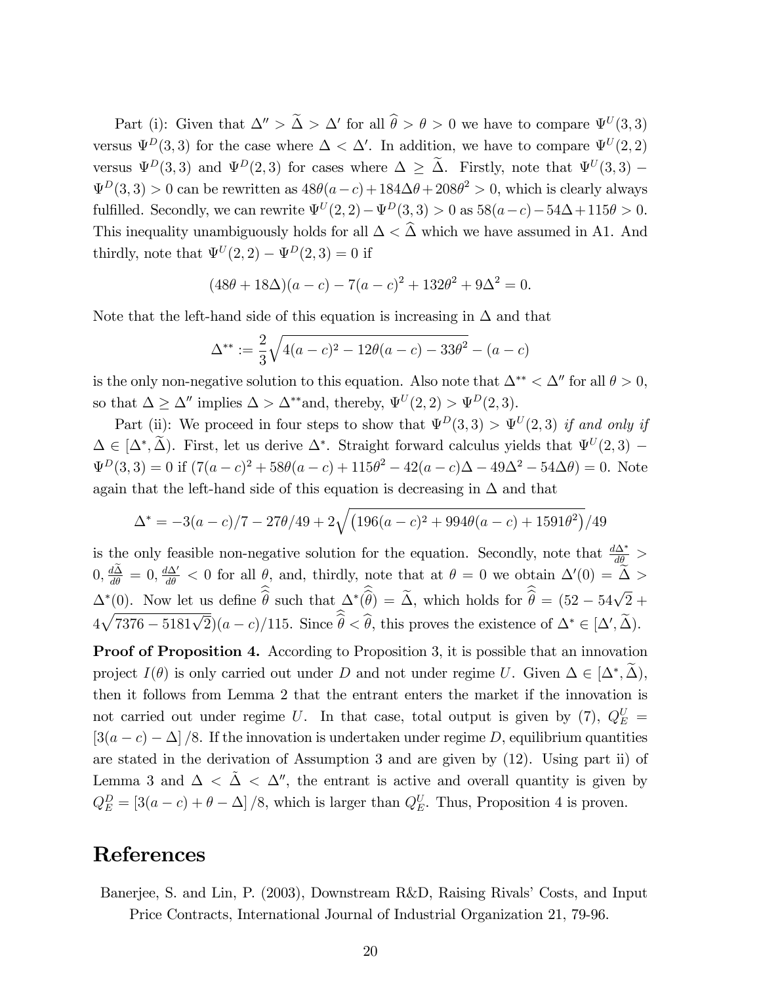Part (i): Given that  $\Delta'' > \tilde{\Delta} > \Delta'$  for all  $\theta > \theta > 0$  we have to compare  $\Psi^{U}(3,3)$ versus  $\Psi^D(3,3)$  for the case where  $\Delta < \Delta'$ . In addition, we have to compare  $\Psi^U(2,2)$ versus  $\Psi^D(3,3)$  and  $\Psi^D(2,3)$  for cases where  $\Delta \geq \Delta$ . Firstly, note that  $\Psi^U(3,3)$  –  $\Psi^D(3,3) > 0$  can be rewritten as  $48\theta(a-c) + 184\Delta\theta + 208\theta^2 > 0$ , which is clearly always fulfilled. Secondly, we can rewrite  $\Psi^{U}(2, 2) - \Psi^{D}(3, 3) > 0$  as  $58(a-c) - 54\Delta + 115\theta > 0$ . This inequality unambiguously holds for all  $\Delta < \widehat{\Delta}$  which we have assumed in A1. And thirdly, note that  $\Psi^U(2,2) - \Psi^D(2,3) = 0$  if

$$
(48\theta + 18\Delta)(a - c) - 7(a - c)^{2} + 132\theta^{2} + 9\Delta^{2} = 0.
$$

Note that the left-hand side of this equation is increasing in  $\Delta$  and that

$$
\Delta^{**} := \frac{2}{3}\sqrt{4(a-c)^2 - 12\theta(a-c) - 33\theta^2} - (a-c)
$$

is the only non-negative solution to this equation. Also note that  $\Delta^{**} < \Delta''$  for all  $\theta > 0$ , so that  $\Delta \geq \Delta''$  implies  $\Delta > \Delta^{**}$  and, thereby,  $\Psi^U(2, 2) > \Psi^D(2, 3)$ .

Part (ii): We proceed in four steps to show that  $\Psi^D(3,3) > \Psi^U(2,3)$  if and only if  $\Delta \in [\Delta^*, \Delta)$ . First, let us derive  $\Delta^*$ . Straight forward calculus yields that  $\Psi^U(2,3)$  –  $\Psi^D(3,3) = 0$  if  $(7(a-c)^2 + 58\theta(a-c) + 115\theta^2 - 42(a-c)\Delta - 49\Delta^2 - 54\Delta\theta) = 0$ . Note again that the left-hand side of this equation is decreasing in  $\Delta$  and that

$$
\Delta^* = -3(a-c)/7 - 27\theta/49 + 2\sqrt{(196(a-c)^2 + 994\theta(a-c) + 1591\theta^2)/49}
$$

is the only feasible non-negative solution for the equation. Secondly, note that  $\frac{d\Delta^*}{d\theta}$  >  $0, \frac{d\Delta}{d\theta} = 0, \frac{d\Delta'}{d\theta} < 0$  for all  $\theta$ , and, thirdly, note that at  $\theta = 0$  we obtain  $\Delta'(0) = \tilde{\Delta} > 0$  $\Delta^*(0)$ . Now let us define  $\hat{\hat{\theta}}$  such that  $\Delta^*(\hat{\hat{\theta}}) = \tilde{\Delta}$ , which holds for  $\hat{\hat{\theta}} = (52 - 54\sqrt{2} +$  $4\sqrt{7376 - 5181\sqrt{2}}(a-c)/115$ . Since  $\widehat{\widehat{\theta}} < \widehat{\theta}$ , this proves the existence of  $\Delta^* \in [\Delta', \widetilde{\Delta})$ .

Proof of Proposition 4. According to Proposition 3, it is possible that an innovation project  $I(\theta)$  is only carried out under D and not under regime U. Given  $\Delta \in [\Delta^*, \Delta)$ , then it follows from Lemma 2 that the entrant enters the market if the innovation is not carried out under regime U. In that case, total output is given by (7),  $Q_E^U$  =  $[3(a - c) - \Delta]$  /8. If the innovation is undertaken under regime D, equilibrium quantities are stated in the derivation of Assumption 3 and are given by (12). Using part ii) of Lemma 3 and  $\Delta < \Delta < \Delta''$ , the entrant is active and overall quantity is given by  $Q_E^D = [3(a-c) + \theta - \Delta] / 8$ , which is larger than  $Q_E^U$ . Thus, Proposition 4 is proven.

# References

Banerjee, S. and Lin, P. (2003), Downstream R&D, Raising Rivals' Costs, and Input Price Contracts, International Journal of Industrial Organization 21, 79-96.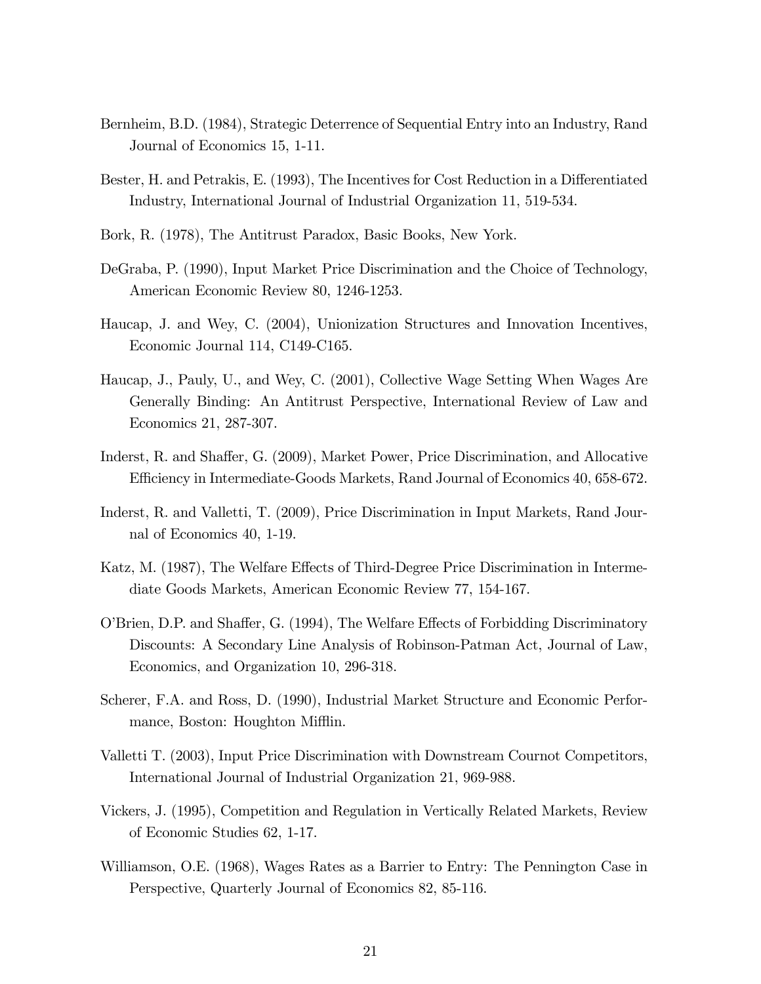- Bernheim, B.D. (1984), Strategic Deterrence of Sequential Entry into an Industry, Rand Journal of Economics 15, 1-11.
- Bester, H. and Petrakis, E. (1993), The Incentives for Cost Reduction in a Differentiated Industry, International Journal of Industrial Organization 11, 519-534.
- Bork, R. (1978), The Antitrust Paradox, Basic Books, New York.
- DeGraba, P. (1990), Input Market Price Discrimination and the Choice of Technology, American Economic Review 80, 1246-1253.
- Haucap, J. and Wey, C. (2004), Unionization Structures and Innovation Incentives, Economic Journal 114, C149-C165.
- Haucap, J., Pauly, U., and Wey, C. (2001), Collective Wage Setting When Wages Are Generally Binding: An Antitrust Perspective, International Review of Law and Economics 21, 287-307.
- Inderst, R. and Shaffer, G. (2009), Market Power, Price Discrimination, and Allocative Efficiency in Intermediate-Goods Markets, Rand Journal of Economics 40, 658-672.
- Inderst, R. and Valletti, T. (2009), Price Discrimination in Input Markets, Rand Journal of Economics 40, 1-19.
- Katz, M. (1987), The Welfare Effects of Third-Degree Price Discrimination in Intermediate Goods Markets, American Economic Review 77, 154-167.
- O'Brien, D.P. and Shaffer, G. (1994), The Welfare Effects of Forbidding Discriminatory Discounts: A Secondary Line Analysis of Robinson-Patman Act, Journal of Law, Economics, and Organization 10, 296-318.
- Scherer, F.A. and Ross, D. (1990), Industrial Market Structure and Economic Performance, Boston: Houghton Mifflin.
- Valletti T. (2003), Input Price Discrimination with Downstream Cournot Competitors, International Journal of Industrial Organization 21, 969-988.
- Vickers, J. (1995), Competition and Regulation in Vertically Related Markets, Review of Economic Studies 62, 1-17.
- Williamson, O.E. (1968), Wages Rates as a Barrier to Entry: The Pennington Case in Perspective, Quarterly Journal of Economics 82, 85-116.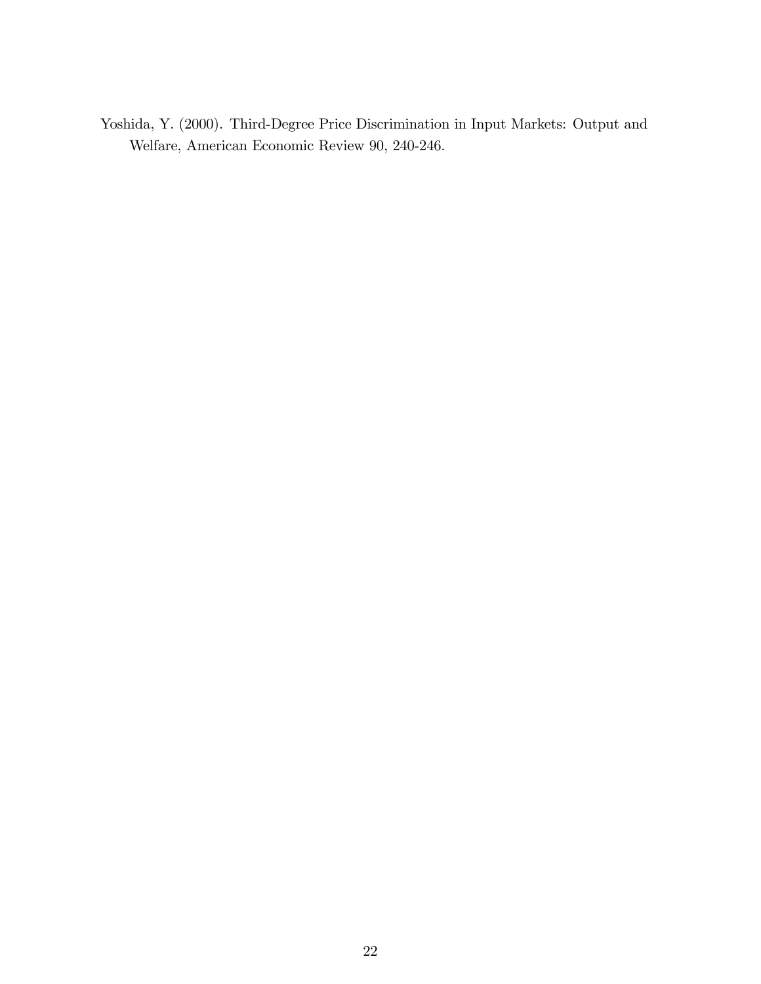Yoshida, Y. (2000). Third-Degree Price Discrimination in Input Markets: Output and Welfare, American Economic Review 90, 240-246.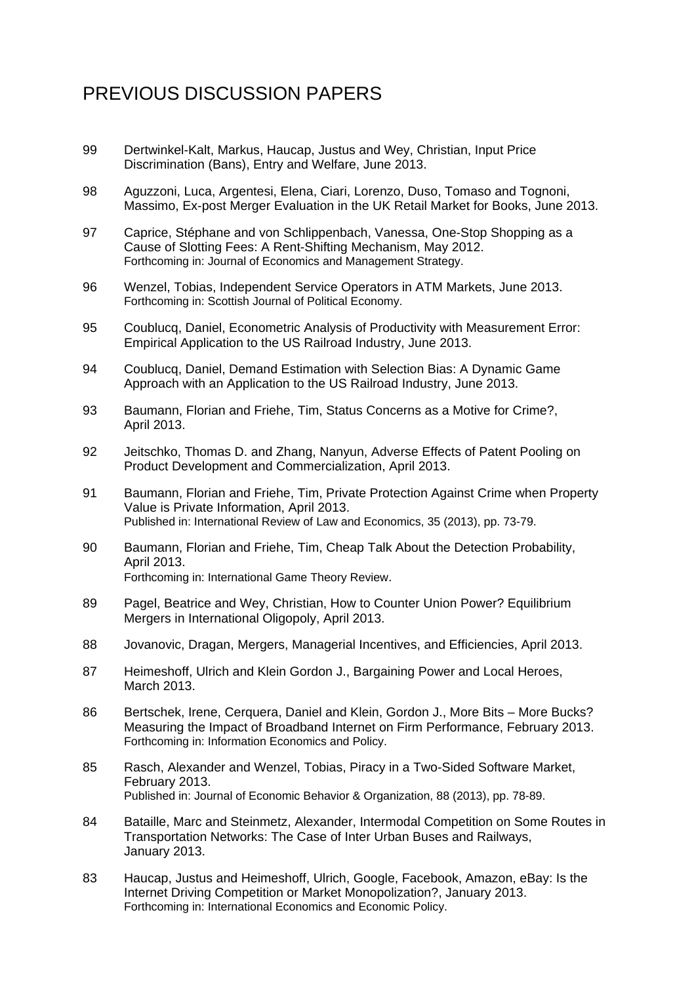# PREVIOUS DISCUSSION PAPERS

- 99 Dertwinkel-Kalt, Markus, Haucap, Justus and Wey, Christian, Input Price Discrimination (Bans), Entry and Welfare, June 2013.
- 98 Aguzzoni, Luca, Argentesi, Elena, Ciari, Lorenzo, Duso, Tomaso and Tognoni, Massimo, Ex-post Merger Evaluation in the UK Retail Market for Books, June 2013.
- 97 Caprice, Stéphane and von Schlippenbach, Vanessa, One-Stop Shopping as a Cause of Slotting Fees: A Rent-Shifting Mechanism, May 2012. Forthcoming in: Journal of Economics and Management Strategy.
- 96 Wenzel, Tobias, Independent Service Operators in ATM Markets, June 2013. Forthcoming in: Scottish Journal of Political Economy.
- 95 Coublucq, Daniel, Econometric Analysis of Productivity with Measurement Error: Empirical Application to the US Railroad Industry, June 2013.
- 94 Coublucq, Daniel, Demand Estimation with Selection Bias: A Dynamic Game Approach with an Application to the US Railroad Industry, June 2013.
- 93 Baumann, Florian and Friehe, Tim, Status Concerns as a Motive for Crime?, April 2013.
- 92 Jeitschko, Thomas D. and Zhang, Nanyun, Adverse Effects of Patent Pooling on Product Development and Commercialization, April 2013.
- 91 Baumann, Florian and Friehe, Tim, Private Protection Against Crime when Property Value is Private Information, April 2013. Published in: International Review of Law and Economics, 35 (2013), pp. 73-79.
- 90 Baumann, Florian and Friehe, Tim, Cheap Talk About the Detection Probability, April 2013. Forthcoming in: International Game Theory Review.
- 89 Pagel, Beatrice and Wey, Christian, How to Counter Union Power? Equilibrium Mergers in International Oligopoly, April 2013.
- 88 Jovanovic, Dragan, Mergers, Managerial Incentives, and Efficiencies, April 2013.
- 87 Heimeshoff, Ulrich and Klein Gordon J., Bargaining Power and Local Heroes, March 2013.
- 86 Bertschek, Irene, Cerquera, Daniel and Klein, Gordon J., More Bits More Bucks? Measuring the Impact of Broadband Internet on Firm Performance, February 2013. Forthcoming in: Information Economics and Policy.
- 85 Rasch, Alexander and Wenzel, Tobias, Piracy in a Two-Sided Software Market, February 2013. Published in: Journal of Economic Behavior & Organization, 88 (2013), pp. 78-89.
- 84 Bataille, Marc and Steinmetz, Alexander, Intermodal Competition on Some Routes in Transportation Networks: The Case of Inter Urban Buses and Railways, January 2013.
- 83 Haucap, Justus and Heimeshoff, Ulrich, Google, Facebook, Amazon, eBay: Is the Internet Driving Competition or Market Monopolization?, January 2013. Forthcoming in: International Economics and Economic Policy.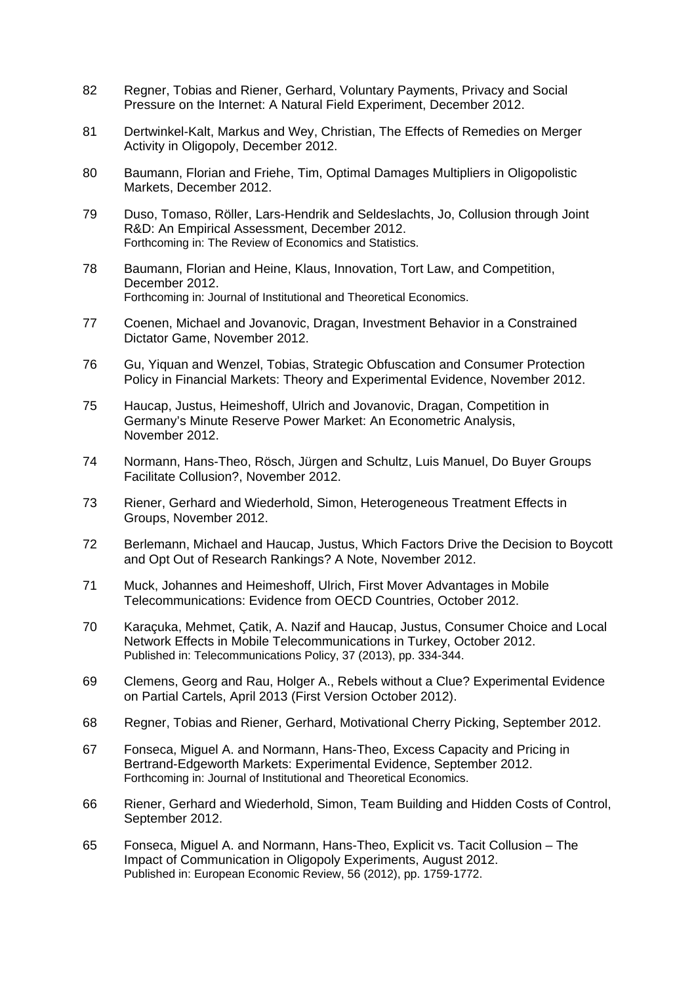- 82 Regner, Tobias and Riener, Gerhard, Voluntary Payments, Privacy and Social Pressure on the Internet: A Natural Field Experiment, December 2012.
- 81 Dertwinkel-Kalt, Markus and Wey, Christian, The Effects of Remedies on Merger Activity in Oligopoly, December 2012.
- 80 Baumann, Florian and Friehe, Tim, Optimal Damages Multipliers in Oligopolistic Markets, December 2012.
- 79 Duso, Tomaso, Röller, Lars-Hendrik and Seldeslachts, Jo, Collusion through Joint R&D: An Empirical Assessment, December 2012. Forthcoming in: The Review of Economics and Statistics.
- 78 Baumann, Florian and Heine, Klaus, Innovation, Tort Law, and Competition, December 2012. Forthcoming in: Journal of Institutional and Theoretical Economics.
- 77 Coenen, Michael and Jovanovic, Dragan, Investment Behavior in a Constrained Dictator Game, November 2012.
- 76 Gu, Yiquan and Wenzel, Tobias, Strategic Obfuscation and Consumer Protection Policy in Financial Markets: Theory and Experimental Evidence, November 2012.
- 75 Haucap, Justus, Heimeshoff, Ulrich and Jovanovic, Dragan, Competition in Germany's Minute Reserve Power Market: An Econometric Analysis, November 2012.
- 74 Normann, Hans-Theo, Rösch, Jürgen and Schultz, Luis Manuel, Do Buyer Groups Facilitate Collusion?, November 2012.
- 73 Riener, Gerhard and Wiederhold, Simon, Heterogeneous Treatment Effects in Groups, November 2012.
- 72 Berlemann, Michael and Haucap, Justus, Which Factors Drive the Decision to Boycott and Opt Out of Research Rankings? A Note, November 2012.
- 71 Muck, Johannes and Heimeshoff, Ulrich, First Mover Advantages in Mobile Telecommunications: Evidence from OECD Countries, October 2012.
- 70 Karaçuka, Mehmet, Çatik, A. Nazif and Haucap, Justus, Consumer Choice and Local Network Effects in Mobile Telecommunications in Turkey, October 2012. Published in: Telecommunications Policy, 37 (2013), pp. 334-344.
- 69 Clemens, Georg and Rau, Holger A., Rebels without a Clue? Experimental Evidence on Partial Cartels, April 2013 (First Version October 2012).
- 68 Regner, Tobias and Riener, Gerhard, Motivational Cherry Picking, September 2012.
- 67 Fonseca, Miguel A. and Normann, Hans-Theo, Excess Capacity and Pricing in Bertrand-Edgeworth Markets: Experimental Evidence, September 2012. Forthcoming in: Journal of Institutional and Theoretical Economics.
- 66 Riener, Gerhard and Wiederhold, Simon, Team Building and Hidden Costs of Control, September 2012.
- 65 Fonseca, Miguel A. and Normann, Hans-Theo, Explicit vs. Tacit Collusion The Impact of Communication in Oligopoly Experiments, August 2012. Published in: European Economic Review, 56 (2012), pp. 1759-1772.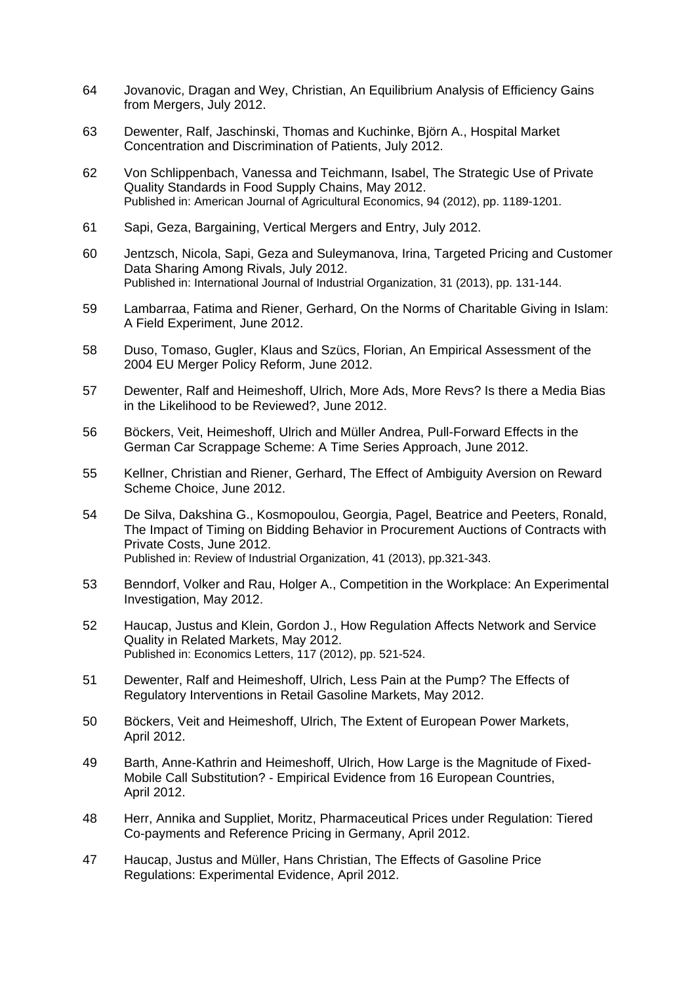- 64 Jovanovic, Dragan and Wey, Christian, An Equilibrium Analysis of Efficiency Gains from Mergers, July 2012.
- 63 Dewenter, Ralf, Jaschinski, Thomas and Kuchinke, Björn A., Hospital Market Concentration and Discrimination of Patients, July 2012.
- 62 Von Schlippenbach, Vanessa and Teichmann, Isabel, The Strategic Use of Private Quality Standards in Food Supply Chains, May 2012. Published in: American Journal of Agricultural Economics, 94 (2012), pp. 1189-1201.
- 61 Sapi, Geza, Bargaining, Vertical Mergers and Entry, July 2012.
- 60 Jentzsch, Nicola, Sapi, Geza and Suleymanova, Irina, Targeted Pricing and Customer Data Sharing Among Rivals, July 2012. Published in: International Journal of Industrial Organization, 31 (2013), pp. 131-144.
- 59 Lambarraa, Fatima and Riener, Gerhard, On the Norms of Charitable Giving in Islam: A Field Experiment, June 2012.
- 58 Duso, Tomaso, Gugler, Klaus and Szücs, Florian, An Empirical Assessment of the 2004 EU Merger Policy Reform, June 2012.
- 57 Dewenter, Ralf and Heimeshoff, Ulrich, More Ads, More Revs? Is there a Media Bias in the Likelihood to be Reviewed?, June 2012.
- 56 Böckers, Veit, Heimeshoff, Ulrich and Müller Andrea, Pull-Forward Effects in the German Car Scrappage Scheme: A Time Series Approach, June 2012.
- 55 Kellner, Christian and Riener, Gerhard, The Effect of Ambiguity Aversion on Reward Scheme Choice, June 2012.
- 54 De Silva, Dakshina G., Kosmopoulou, Georgia, Pagel, Beatrice and Peeters, Ronald, The Impact of Timing on Bidding Behavior in Procurement Auctions of Contracts with Private Costs, June 2012. Published in: Review of Industrial Organization, 41 (2013), pp.321-343.
- 53 Benndorf, Volker and Rau, Holger A., Competition in the Workplace: An Experimental Investigation, May 2012.
- 52 Haucap, Justus and Klein, Gordon J., How Regulation Affects Network and Service Quality in Related Markets, May 2012. Published in: Economics Letters, 117 (2012), pp. 521-524.
- 51 Dewenter, Ralf and Heimeshoff, Ulrich, Less Pain at the Pump? The Effects of Regulatory Interventions in Retail Gasoline Markets, May 2012.
- 50 Böckers, Veit and Heimeshoff, Ulrich, The Extent of European Power Markets, April 2012.
- 49 Barth, Anne-Kathrin and Heimeshoff, Ulrich, How Large is the Magnitude of Fixed-Mobile Call Substitution? - Empirical Evidence from 16 European Countries, April 2012.
- 48 Herr, Annika and Suppliet, Moritz, Pharmaceutical Prices under Regulation: Tiered Co-payments and Reference Pricing in Germany, April 2012.
- 47 Haucap, Justus and Müller, Hans Christian, The Effects of Gasoline Price Regulations: Experimental Evidence, April 2012.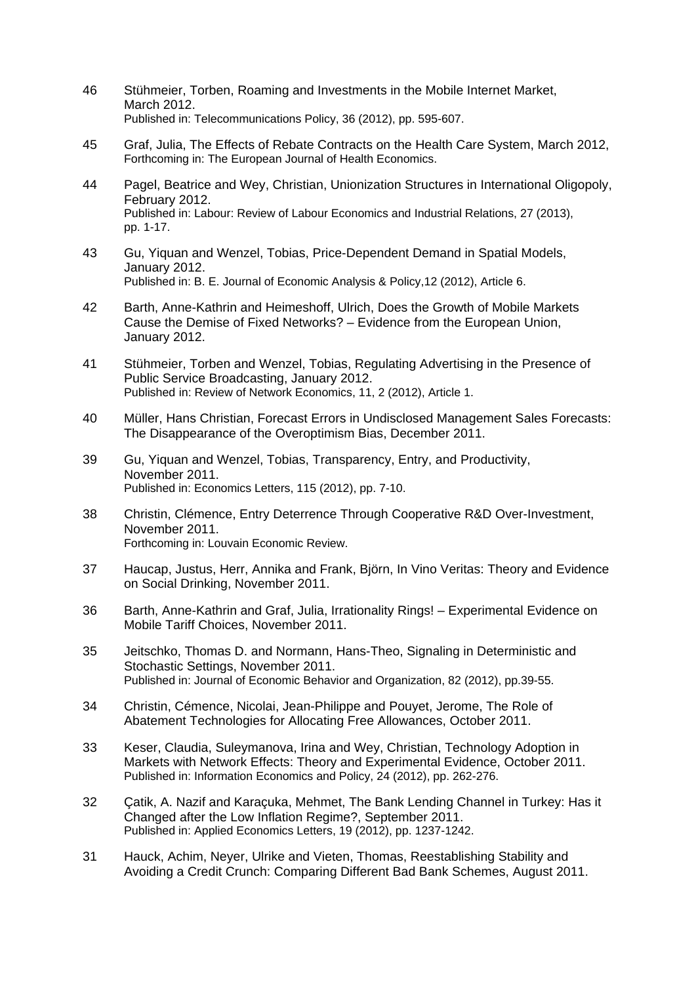- 46 Stühmeier, Torben, Roaming and Investments in the Mobile Internet Market, March 2012. Published in: Telecommunications Policy, 36 (2012), pp. 595-607.
- 45 Graf, Julia, The Effects of Rebate Contracts on the Health Care System, March 2012, Forthcoming in: The European Journal of Health Economics.
- 44 Pagel, Beatrice and Wey, Christian, Unionization Structures in International Oligopoly, February 2012. Published in: Labour: Review of Labour Economics and Industrial Relations, 27 (2013), pp. 1-17.
- 43 Gu, Yiquan and Wenzel, Tobias, Price-Dependent Demand in Spatial Models, January 2012. Published in: B. E. Journal of Economic Analysis & Policy,12 (2012), Article 6.
- 42 Barth, Anne-Kathrin and Heimeshoff, Ulrich, Does the Growth of Mobile Markets Cause the Demise of Fixed Networks? – Evidence from the European Union, January 2012.
- 41 Stühmeier, Torben and Wenzel, Tobias, Regulating Advertising in the Presence of Public Service Broadcasting, January 2012. Published in: Review of Network Economics, 11, 2 (2012), Article 1.
- 40 Müller, Hans Christian, Forecast Errors in Undisclosed Management Sales Forecasts: The Disappearance of the Overoptimism Bias, December 2011.
- 39 Gu, Yiquan and Wenzel, Tobias, Transparency, Entry, and Productivity, November 2011. Published in: Economics Letters, 115 (2012), pp. 7-10.
- 38 Christin, Clémence, Entry Deterrence Through Cooperative R&D Over-Investment, November 2011. Forthcoming in: Louvain Economic Review.
- 37 Haucap, Justus, Herr, Annika and Frank, Björn, In Vino Veritas: Theory and Evidence on Social Drinking, November 2011.
- 36 Barth, Anne-Kathrin and Graf, Julia, Irrationality Rings! Experimental Evidence on Mobile Tariff Choices, November 2011.
- 35 Jeitschko, Thomas D. and Normann, Hans-Theo, Signaling in Deterministic and Stochastic Settings, November 2011. Published in: Journal of Economic Behavior and Organization, 82 (2012), pp.39-55.
- 34 Christin, Cémence, Nicolai, Jean-Philippe and Pouyet, Jerome, The Role of Abatement Technologies for Allocating Free Allowances, October 2011.
- 33 Keser, Claudia, Suleymanova, Irina and Wey, Christian, Technology Adoption in Markets with Network Effects: Theory and Experimental Evidence, October 2011. Published in: Information Economics and Policy, 24 (2012), pp. 262-276.
- 32 Çatik, A. Nazif and Karaçuka, Mehmet, The Bank Lending Channel in Turkey: Has it Changed after the Low Inflation Regime?, September 2011. Published in: Applied Economics Letters, 19 (2012), pp. 1237-1242.
- 31 Hauck, Achim, Neyer, Ulrike and Vieten, Thomas, Reestablishing Stability and Avoiding a Credit Crunch: Comparing Different Bad Bank Schemes, August 2011.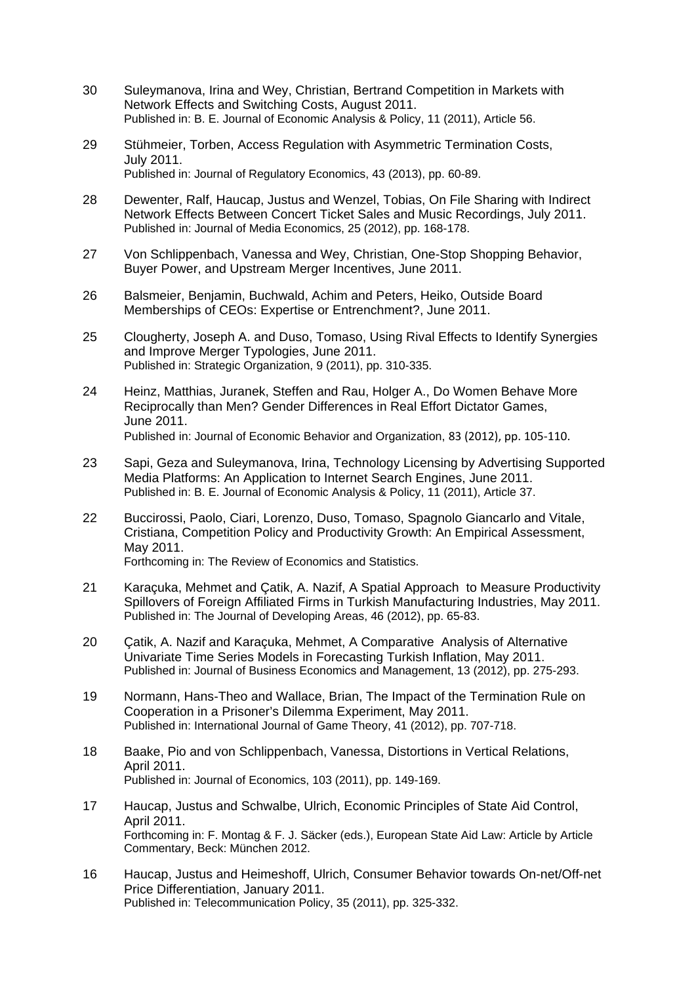- 30 Suleymanova, Irina and Wey, Christian, Bertrand Competition in Markets with Network Effects and Switching Costs, August 2011. Published in: B. E. Journal of Economic Analysis & Policy, 11 (2011), Article 56.
- 29 Stühmeier, Torben, Access Regulation with Asymmetric Termination Costs, July 2011. Published in: Journal of Regulatory Economics, 43 (2013), pp. 60-89.
- 28 Dewenter, Ralf, Haucap, Justus and Wenzel, Tobias, On File Sharing with Indirect Network Effects Between Concert Ticket Sales and Music Recordings, July 2011. Published in: Journal of Media Economics, 25 (2012), pp. 168-178.
- 27 Von Schlippenbach, Vanessa and Wey, Christian, One-Stop Shopping Behavior, Buyer Power, and Upstream Merger Incentives, June 2011.
- 26 Balsmeier, Benjamin, Buchwald, Achim and Peters, Heiko, Outside Board Memberships of CEOs: Expertise or Entrenchment?, June 2011.
- 25 Clougherty, Joseph A. and Duso, Tomaso, Using Rival Effects to Identify Synergies and Improve Merger Typologies, June 2011. Published in: Strategic Organization, 9 (2011), pp. 310-335.
- 24 Heinz, Matthias, Juranek, Steffen and Rau, Holger A., Do Women Behave More Reciprocally than Men? Gender Differences in Real Effort Dictator Games, June 2011. Published in: Journal of Economic Behavior and Organization, 83 (2012), pp. 105‐110.
- 23 Sapi, Geza and Suleymanova, Irina, Technology Licensing by Advertising Supported Media Platforms: An Application to Internet Search Engines, June 2011. Published in: B. E. Journal of Economic Analysis & Policy, 11 (2011), Article 37.
- 22 Buccirossi, Paolo, Ciari, Lorenzo, Duso, Tomaso, Spagnolo Giancarlo and Vitale, Cristiana, Competition Policy and Productivity Growth: An Empirical Assessment, May 2011. Forthcoming in: The Review of Economics and Statistics.
- 21 Karaçuka, Mehmet and Çatik, A. Nazif, A Spatial Approach to Measure Productivity Spillovers of Foreign Affiliated Firms in Turkish Manufacturing Industries, May 2011. Published in: The Journal of Developing Areas, 46 (2012), pp. 65-83.
- 20 Çatik, A. Nazif and Karaçuka, Mehmet, A Comparative Analysis of Alternative Univariate Time Series Models in Forecasting Turkish Inflation, May 2011. Published in: Journal of Business Economics and Management, 13 (2012), pp. 275-293.
- 19 Normann, Hans-Theo and Wallace, Brian, The Impact of the Termination Rule on Cooperation in a Prisoner's Dilemma Experiment, May 2011. Published in: International Journal of Game Theory, 41 (2012), pp. 707-718.
- 18 Baake, Pio and von Schlippenbach, Vanessa, Distortions in Vertical Relations, April 2011. Published in: Journal of Economics, 103 (2011), pp. 149-169.
- 17 Haucap, Justus and Schwalbe, Ulrich, Economic Principles of State Aid Control, April 2011. Forthcoming in: F. Montag & F. J. Säcker (eds.), European State Aid Law: Article by Article Commentary, Beck: München 2012.
- 16 Haucap, Justus and Heimeshoff, Ulrich, Consumer Behavior towards On-net/Off-net Price Differentiation, January 2011. Published in: Telecommunication Policy, 35 (2011), pp. 325-332.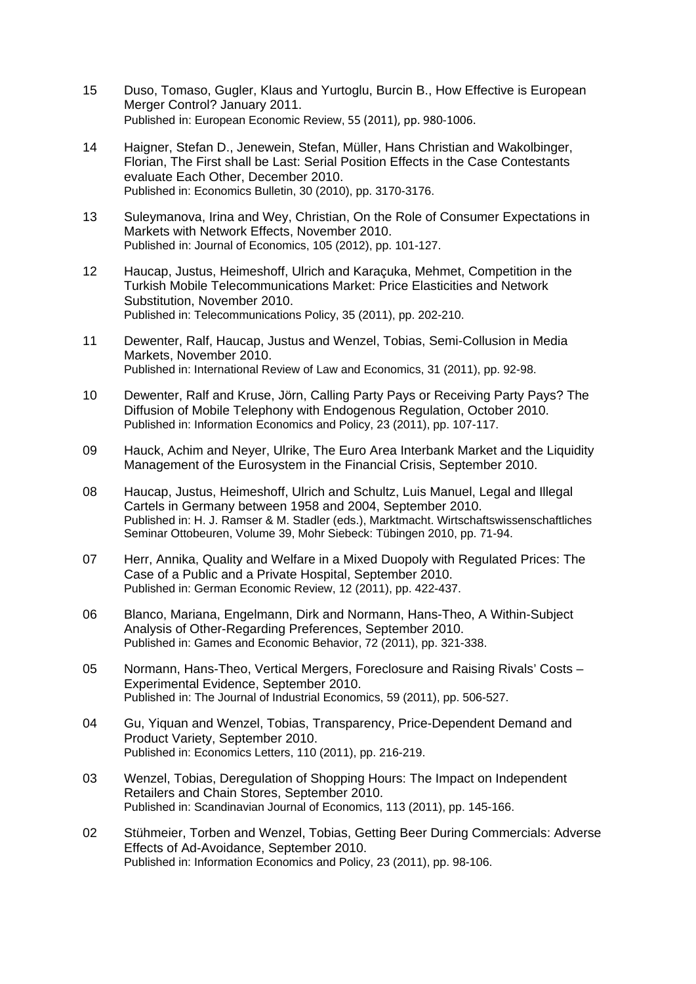- 15 Duso, Tomaso, Gugler, Klaus and Yurtoglu, Burcin B., How Effective is European Merger Control? January 2011. Published in: European Economic Review, 55 (2011), pp. 980‐1006.
- 14 Haigner, Stefan D., Jenewein, Stefan, Müller, Hans Christian and Wakolbinger, Florian, The First shall be Last: Serial Position Effects in the Case Contestants evaluate Each Other, December 2010. Published in: Economics Bulletin, 30 (2010), pp. 3170-3176.
- 13 Suleymanova, Irina and Wey, Christian, On the Role of Consumer Expectations in Markets with Network Effects, November 2010. Published in: Journal of Economics, 105 (2012), pp. 101-127.
- 12 Haucap, Justus, Heimeshoff, Ulrich and Karaçuka, Mehmet, Competition in the Turkish Mobile Telecommunications Market: Price Elasticities and Network Substitution, November 2010. Published in: Telecommunications Policy, 35 (2011), pp. 202-210.
- 11 Dewenter, Ralf, Haucap, Justus and Wenzel, Tobias, Semi-Collusion in Media Markets, November 2010. Published in: International Review of Law and Economics, 31 (2011), pp. 92-98.
- 10 Dewenter, Ralf and Kruse, Jörn, Calling Party Pays or Receiving Party Pays? The Diffusion of Mobile Telephony with Endogenous Regulation, October 2010. Published in: Information Economics and Policy, 23 (2011), pp. 107-117.
- 09 Hauck, Achim and Neyer, Ulrike, The Euro Area Interbank Market and the Liquidity Management of the Eurosystem in the Financial Crisis, September 2010.
- 08 Haucap, Justus, Heimeshoff, Ulrich and Schultz, Luis Manuel, Legal and Illegal Cartels in Germany between 1958 and 2004, September 2010. Published in: H. J. Ramser & M. Stadler (eds.), Marktmacht. Wirtschaftswissenschaftliches Seminar Ottobeuren, Volume 39, Mohr Siebeck: Tübingen 2010, pp. 71-94.
- 07 Herr, Annika, Quality and Welfare in a Mixed Duopoly with Regulated Prices: The Case of a Public and a Private Hospital, September 2010. Published in: German Economic Review, 12 (2011), pp. 422-437.
- 06 Blanco, Mariana, Engelmann, Dirk and Normann, Hans-Theo, A Within-Subject Analysis of Other-Regarding Preferences, September 2010. Published in: Games and Economic Behavior, 72 (2011), pp. 321-338.
- 05 Normann, Hans-Theo, Vertical Mergers, Foreclosure and Raising Rivals' Costs Experimental Evidence, September 2010. Published in: The Journal of Industrial Economics, 59 (2011), pp. 506-527.
- 04 Gu, Yiquan and Wenzel, Tobias, Transparency, Price-Dependent Demand and Product Variety, September 2010. Published in: Economics Letters, 110 (2011), pp. 216-219.
- 03 Wenzel, Tobias, Deregulation of Shopping Hours: The Impact on Independent Retailers and Chain Stores, September 2010. Published in: Scandinavian Journal of Economics, 113 (2011), pp. 145-166.
- 02 Stühmeier, Torben and Wenzel, Tobias, Getting Beer During Commercials: Adverse Effects of Ad-Avoidance, September 2010. Published in: Information Economics and Policy, 23 (2011), pp. 98-106.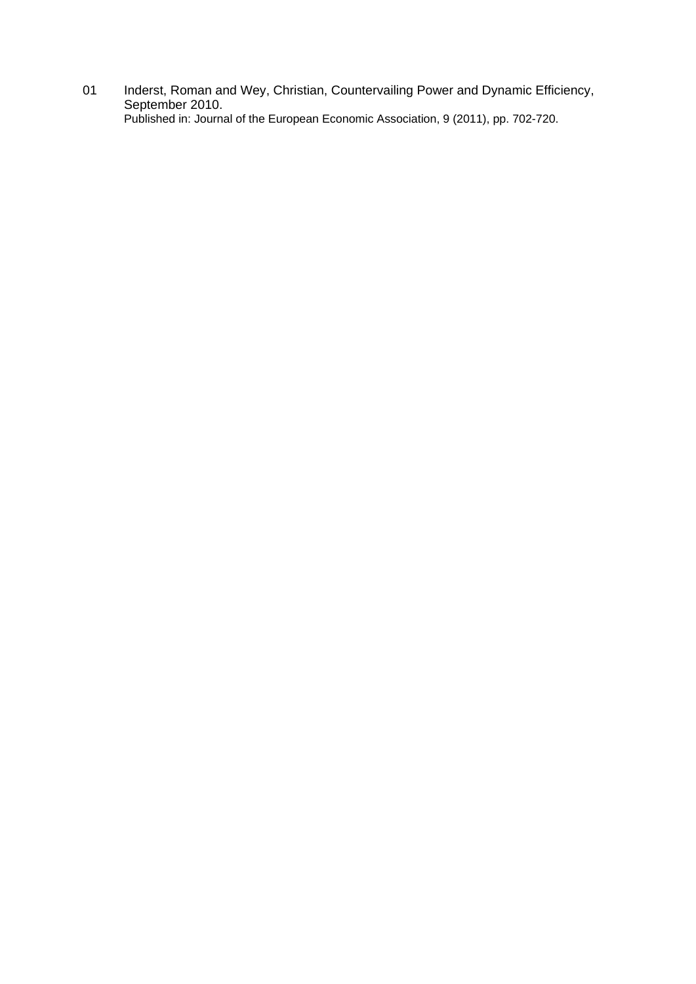01 Inderst, Roman and Wey, Christian, Countervailing Power and Dynamic Efficiency, September 2010. Published in: Journal of the European Economic Association, 9 (2011), pp. 702-720.